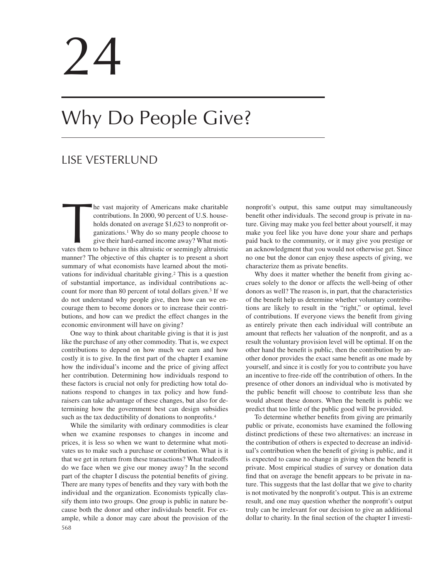# 24

# Why Do People Give?

## LISE VESTERLUND

The vast majority of Americans make charitable<br>contributions. In 2000, 90 percent of U.S. house-<br>holds donated on average \$1,623 to nonprofit or-<br>ganizations.<sup>1</sup> Why do so many people choose to<br>give their hard-earned incom he vast majority of Americans make charitable contributions. In 2000, 90 percent of U.S. households donated on average \$1,623 to nonprofit organizations.1 Why do so many people choose to give their hard-earned income away? What motimanner? The objective of this chapter is to present a short summary of what economists have learned about the motivations for individual charitable giving.2 This is a question of substantial importance, as individual contributions account for more than 80 percent of total dollars given.3 If we do not understand why people give, then how can we encourage them to become donors or to increase their contributions, and how can we predict the effect changes in the economic environment will have on giving?

One way to think about charitable giving is that it is just like the purchase of any other commodity. That is, we expect contributions to depend on how much we earn and how costly it is to give. In the first part of the chapter I examine how the individual's income and the price of giving affect her contribution. Determining how individuals respond to these factors is crucial not only for predicting how total donations respond to changes in tax policy and how fundraisers can take advantage of these changes, but also for determining how the government best can design subsidies such as the tax deductibility of donations to nonprofits.<sup>4</sup>

While the similarity with ordinary commodities is clear when we examine responses to changes in income and prices, it is less so when we want to determine what motivates us to make such a purchase or contribution. What is it that we get in return from these transactions? What tradeoffs do we face when we give our money away? In the second part of the chapter I discuss the potential benefits of giving. There are many types of benefits and they vary with both the individual and the organization. Economists typically classify them into two groups. One group is public in nature because both the donor and other individuals benefit. For example, while a donor may care about the provision of the 568

nonprofit's output, this same output may simultaneously benefit other individuals. The second group is private in nature. Giving may make you feel better about yourself, it may make you feel like you have done your share and perhaps paid back to the community, or it may give you prestige or an acknowledgment that you would not otherwise get. Since no one but the donor can enjoy these aspects of giving, we characterize them as private benefits.

Why does it matter whether the benefit from giving accrues solely to the donor or affects the well-being of other donors as well? The reason is, in part, that the characteristics of the benefit help us determine whether voluntary contributions are likely to result in the "right," or optimal, level of contributions. If everyone views the benefit from giving as entirely private then each individual will contribute an amount that reflects her valuation of the nonprofit, and as a result the voluntary provision level will be optimal. If on the other hand the benefit is public, then the contribution by another donor provides the exact same benefit as one made by yourself, and since it is costly for you to contribute you have an incentive to free-ride off the contribution of others. In the presence of other donors an individual who is motivated by the public benefit will choose to contribute less than she would absent these donors. When the benefit is public we predict that too little of the public good will be provided.

To determine whether benefits from giving are primarily public or private, economists have examined the following distinct predictions of these two alternatives: an increase in the contribution of others is expected to decrease an individual's contribution when the benefit of giving is public, and it is expected to cause no change in giving when the benefit is private. Most empirical studies of survey or donation data find that on average the benefit appears to be private in nature. This suggests that the last dollar that we give to charity is not motivated by the nonprofit's output. This is an extreme result, and one may question whether the nonprofit's output truly can be irrelevant for our decision to give an additional dollar to charity. In the final section of the chapter I investi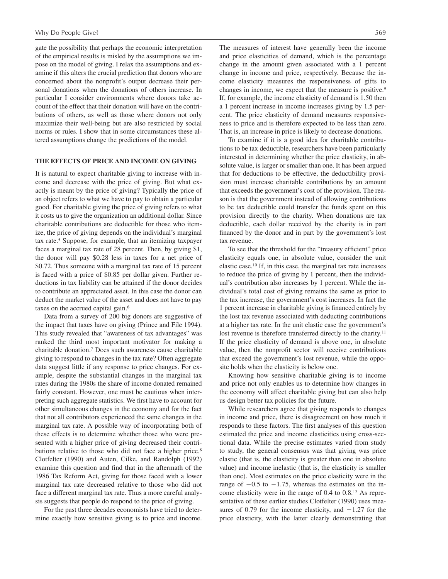gate the possibility that perhaps the economic interpretation of the empirical results is misled by the assumptions we impose on the model of giving. I relax the assumptions and examine if this alters the crucial prediction that donors who are concerned about the nonprofit's output decrease their personal donations when the donations of others increase. In particular I consider environments where donors take account of the effect that their donation will have on the contributions of others, as well as those where donors not only maximize their well-being but are also restricted by social norms or rules. I show that in some circumstances these altered assumptions change the predictions of the model.

#### **THE EFFECTS OF PRICE AND INCOME ON GIVING**

It is natural to expect charitable giving to increase with income and decrease with the price of giving. But what exactly is meant by the price of giving? Typically the price of an object refers to what we have to pay to obtain a particular good. For charitable giving the price of giving refers to what it costs us to give the organization an additional dollar. Since charitable contributions are deductible for those who itemize, the price of giving depends on the individual's marginal tax rate.5 Suppose, for example, that an itemizing taxpayer faces a marginal tax rate of 28 percent. Then, by giving \$1, the donor will pay \$0.28 less in taxes for a net price of \$0.72. Thus someone with a marginal tax rate of 15 percent is faced with a price of \$0.85 per dollar given. Further reductions in tax liability can be attained if the donor decides to contribute an appreciated asset. In this case the donor can deduct the market value of the asset and does not have to pay taxes on the accrued capital gain.<sup>6</sup>

Data from a survey of 200 big donors are suggestive of the impact that taxes have on giving (Prince and File 1994). This study revealed that "awareness of tax advantages" was ranked the third most important motivator for making a charitable donation.7 Does such awareness cause charitable giving to respond to changes in the tax rate? Often aggregate data suggest little if any response to price changes. For example, despite the substantial changes in the marginal tax rates during the 1980s the share of income donated remained fairly constant. However, one must be cautious when interpreting such aggregate statistics. We first have to account for other simultaneous changes in the economy and for the fact that not all contributors experienced the same changes in the marginal tax rate. A possible way of incorporating both of these effects is to determine whether those who were presented with a higher price of giving decreased their contributions relative to those who did not face a higher price.<sup>8</sup> Clotfelter (1990) and Auten, Cilke, and Randolph (1992) examine this question and find that in the aftermath of the 1986 Tax Reform Act, giving for those faced with a lower marginal tax rate decreased relative to those who did not face a different marginal tax rate. Thus a more careful analysis suggests that people do respond to the price of giving.

For the past three decades economists have tried to determine exactly how sensitive giving is to price and income. The measures of interest have generally been the income and price elasticities of demand, which is the percentage change in the amount given associated with a 1 percent

change in income and price, respectively. Because the income elasticity measures the responsiveness of gifts to changes in income, we expect that the measure is positive.9 If, for example, the income elasticity of demand is 1.50 then a 1 percent increase in income increases giving by 1.5 percent. The price elasticity of demand measures responsiveness to price and is therefore expected to be less than zero. That is, an increase in price is likely to decrease donations.

To examine if it is a good idea for charitable contributions to be tax deductible, researchers have been particularly interested in determining whether the price elasticity, in absolute value, is larger or smaller than one. It has been argued that for deductions to be effective, the deductibility provision must increase charitable contributions by an amount that exceeds the government's cost of the provision. The reason is that the government instead of allowing contributions to be tax deductible could transfer the funds spent on this provision directly to the charity. When donations are tax deductible, each dollar received by the charity is in part financed by the donor and in part by the government's lost tax revenue.

To see that the threshold for the "treasury efficient" price elasticity equals one, in absolute value, consider the unit elastic case.10 If, in this case, the marginal tax rate increases to reduce the price of giving by 1 percent, then the individual's contribution also increases by 1 percent. While the individual's total cost of giving remains the same as prior to the tax increase, the government's cost increases. In fact the 1 percent increase in charitable giving is financed entirely by the lost tax revenue associated with deducting contributions at a higher tax rate. In the unit elastic case the government's lost revenue is therefore transferred directly to the charity.<sup>11</sup> If the price elasticity of demand is above one, in absolute value, then the nonprofit sector will receive contributions that exceed the government's lost revenue, while the opposite holds when the elasticity is below one.

Knowing how sensitive charitable giving is to income and price not only enables us to determine how changes in the economy will affect charitable giving but can also help us design better tax policies for the future.

While researchers agree that giving responds to changes in income and price, there is disagreement on how much it responds to these factors. The first analyses of this question estimated the price and income elasticities using cross-sectional data. While the precise estimates varied from study to study, the general consensus was that giving was price elastic (that is, the elasticity is greater than one in absolute value) and income inelastic (that is, the elasticity is smaller than one). Most estimates on the price elasticity were in the range of  $-0.5$  to  $-1.75$ , whereas the estimates on the income elasticity were in the range of 0.4 to 0.8.12 As representative of these earlier studies Clotfelter (1990) uses measures of 0.79 for the income elasticity, and  $-1.27$  for the price elasticity, with the latter clearly demonstrating that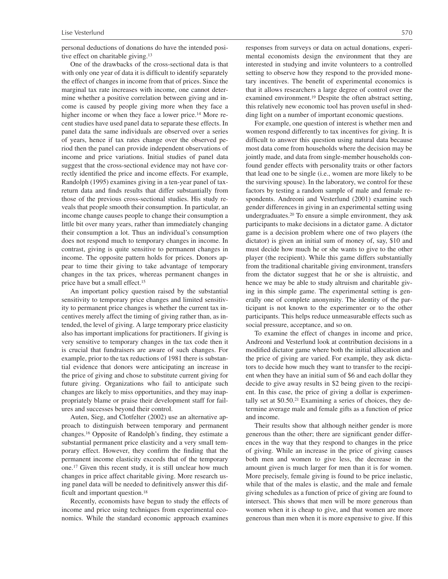personal deductions of donations do have the intended positive effect on charitable giving.13

One of the drawbacks of the cross-sectional data is that with only one year of data it is difficult to identify separately the effect of changes in income from that of prices. Since the marginal tax rate increases with income, one cannot determine whether a positive correlation between giving and income is caused by people giving more when they face a higher income or when they face a lower price.<sup>14</sup> More recent studies have used panel data to separate these effects. In panel data the same individuals are observed over a series of years, hence if tax rates change over the observed period then the panel can provide independent observations of income and price variations. Initial studies of panel data suggest that the cross-sectional evidence may not have correctly identified the price and income effects. For example, Randolph (1995) examines giving in a ten-year panel of taxreturn data and finds results that differ substantially from those of the previous cross-sectional studies. His study reveals that people smooth their consumption. In particular, an income change causes people to change their consumption a little bit over many years, rather than immediately changing their consumption a lot. Thus an individual's consumption does not respond much to temporary changes in income. In contrast, giving is quite sensitive to permanent changes in income. The opposite pattern holds for prices. Donors appear to time their giving to take advantage of temporary changes in the tax prices, whereas permanent changes in price have but a small effect.15

An important policy question raised by the substantial sensitivity to temporary price changes and limited sensitivity to permanent price changes is whether the current tax incentives merely affect the timing of giving rather than, as intended, the level of giving. A large temporary price elasticity also has important implications for practitioners. If giving is very sensitive to temporary changes in the tax code then it is crucial that fundraisers are aware of such changes. For example, prior to the tax reductions of 1981 there is substantial evidence that donors were anticipating an increase in the price of giving and chose to substitute current giving for future giving. Organizations who fail to anticipate such changes are likely to miss opportunities, and they may inappropriately blame or praise their development staff for failures and successes beyond their control.

Auten, Sieg, and Clotfelter (2002) use an alternative approach to distinguish between temporary and permanent changes.16 Opposite of Randolph's finding, they estimate a substantial permanent price elasticity and a very small temporary effect. However, they confirm the finding that the permanent income elasticity exceeds that of the temporary one.17 Given this recent study, it is still unclear how much changes in price affect charitable giving. More research using panel data will be needed to definitively answer this difficult and important question.18

Recently, economists have begun to study the effects of income and price using techniques from experimental economics. While the standard economic approach examines

responses from surveys or data on actual donations, experimental economists design the environment that they are interested in studying and invite volunteers to a controlled setting to observe how they respond to the provided monetary incentives. The benefit of experimental economics is that it allows researchers a large degree of control over the examined environment.19 Despite the often abstract setting, this relatively new economic tool has proven useful in shedding light on a number of important economic questions.

For example, one question of interest is whether men and women respond differently to tax incentives for giving. It is difficult to answer this question using natural data because most data come from households where the decision may be jointly made, and data from single-member households confound gender effects with personality traits or other factors that lead one to be single (i.e., women are more likely to be the surviving spouse). In the laboratory, we control for these factors by testing a random sample of male and female respondents. Andreoni and Vesterlund (2001) examine such gender differences in giving in an experimental setting using undergraduates.20 To ensure a simple environment, they ask participants to make decisions in a dictator game. A dictator game is a decision problem where one of two players (the dictator) is given an initial sum of money of, say, \$10 and must decide how much he or she wants to give to the other player (the recipient). While this game differs substantially from the traditional charitable giving environment, transfers from the dictator suggest that he or she is altruistic, and hence we may be able to study altruism and charitable giving in this simple game. The experimental setting is generally one of complete anonymity. The identity of the participant is not known to the experimenter or to the other participants. This helps reduce unmeasurable effects such as social pressure, acceptance, and so on.

To examine the effect of changes in income and price, Andreoni and Vesterlund look at contribution decisions in a modified dictator game where both the initial allocation and the price of giving are varied. For example, they ask dictators to decide how much they want to transfer to the recipient when they have an initial sum of \$6 and each dollar they decide to give away results in \$2 being given to the recipient. In this case, the price of giving a dollar is experimentally set at \$0.50.21 Examining a series of choices, they determine average male and female gifts as a function of price and income.

Their results show that although neither gender is more generous than the other; there are significant gender differences in the way that they respond to changes in the price of giving. While an increase in the price of giving causes both men and women to give less, the decrease in the amount given is much larger for men than it is for women. More precisely, female giving is found to be price inelastic, while that of the males is elastic, and the male and female giving schedules as a function of price of giving are found to intersect. This shows that men will be more generous than women when it is cheap to give, and that women are more generous than men when it is more expensive to give. If this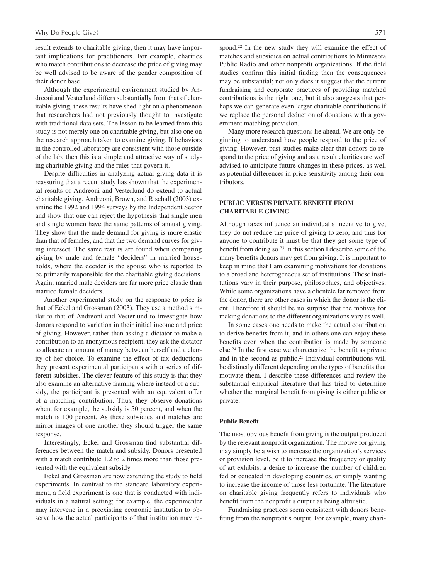result extends to charitable giving, then it may have important implications for practitioners. For example, charities who match contributions to decrease the price of giving may be well advised to be aware of the gender composition of their donor base.

Although the experimental environment studied by Andreoni and Vesterlund differs substantially from that of charitable giving, these results have shed light on a phenomenon that researchers had not previously thought to investigate with traditional data sets. The lesson to be learned from this study is not merely one on charitable giving, but also one on the research approach taken to examine giving. If behaviors in the controlled laboratory are consistent with those outside of the lab, then this is a simple and attractive way of studying charitable giving and the rules that govern it.

Despite difficulties in analyzing actual giving data it is reassuring that a recent study has shown that the experimental results of Andreoni and Vesterlund do extend to actual charitable giving. Andreoni, Brown, and Rischall (2003) examine the 1992 and 1994 surveys by the Independent Sector and show that one can reject the hypothesis that single men and single women have the same patterns of annual giving. They show that the male demand for giving is more elastic than that of females, and that the two demand curves for giving intersect. The same results are found when comparing giving by male and female "deciders" in married households, where the decider is the spouse who is reported to be primarily responsible for the charitable giving decisions. Again, married male deciders are far more price elastic than married female deciders.

Another experimental study on the response to price is that of Eckel and Grossman (2003). They use a method similar to that of Andreoni and Vesterlund to investigate how donors respond to variation in their initial income and price of giving. However, rather than asking a dictator to make a contribution to an anonymous recipient, they ask the dictator to allocate an amount of money between herself and a charity of her choice. To examine the effect of tax deductions they present experimental participants with a series of different subsidies. The clever feature of this study is that they also examine an alternative framing where instead of a subsidy, the participant is presented with an equivalent offer of a matching contribution. Thus, they observe donations when, for example, the subsidy is 50 percent, and when the match is 100 percent. As these subsidies and matches are mirror images of one another they should trigger the same response.

Interestingly, Eckel and Grossman find substantial differences between the match and subsidy. Donors presented with a match contribute 1.2 to 2 times more than those presented with the equivalent subsidy.

Eckel and Grossman are now extending the study to field experiments. In contrast to the standard laboratory experiment, a field experiment is one that is conducted with individuals in a natural setting; for example, the experimenter may intervene in a preexisting economic institution to observe how the actual participants of that institution may respond.22 In the new study they will examine the effect of matches and subsidies on actual contributions to Minnesota Public Radio and other nonprofit organizations. If the field studies confirm this initial finding then the consequences may be substantial; not only does it suggest that the current fundraising and corporate practices of providing matched contributions is the right one, but it also suggests that perhaps we can generate even larger charitable contributions if we replace the personal deduction of donations with a government matching provision.

Many more research questions lie ahead. We are only beginning to understand how people respond to the price of giving. However, past studies make clear that donors do respond to the price of giving and as a result charities are well advised to anticipate future changes in these prices, as well as potential differences in price sensitivity among their contributors.

#### **PUBLIC VERSUS PRIVATE BENEFIT FROM CHARITABLE GIVING**

Although taxes influence an individual's incentive to give, they do not reduce the price of giving to zero, and thus for anyone to contribute it must be that they get some type of benefit from doing so.23 In this section I describe some of the many benefits donors may get from giving. It is important to keep in mind that I am examining motivations for donations to a broad and heterogeneous set of institutions. These institutions vary in their purpose, philosophies, and objectives. While some organizations have a clientele far removed from the donor, there are other cases in which the donor is the client. Therefore it should be no surprise that the motives for making donations to the different organizations vary as well.

In some cases one needs to make the actual contribution to derive benefits from it, and in others one can enjoy these benefits even when the contribution is made by someone else.24 In the first case we characterize the benefit as private and in the second as public.<sup>25</sup> Individual contributions will be distinctly different depending on the types of benefits that motivate them. I describe these differences and review the substantial empirical literature that has tried to determine whether the marginal benefit from giving is either public or private.

#### **Public Benefit**

The most obvious benefit from giving is the output produced by the relevant nonprofit organization. The motive for giving may simply be a wish to increase the organization's services or provision level, be it to increase the frequency or quality of art exhibits, a desire to increase the number of children fed or educated in developing countries, or simply wanting to increase the income of those less fortunate. The literature on charitable giving frequently refers to individuals who benefit from the nonprofit's output as being altruistic.

Fundraising practices seem consistent with donors benefiting from the nonprofit's output. For example, many chari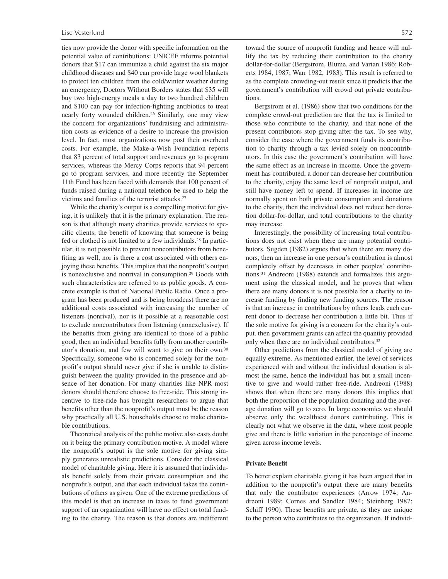ties now provide the donor with specific information on the potential value of contributions: UNICEF informs potential donors that \$17 can immunize a child against the six major childhood diseases and \$40 can provide large wool blankets to protect ten children from the cold/winter weather during an emergency, Doctors Without Borders states that \$35 will buy two high-energy meals a day to two hundred children and \$100 can pay for infection-fighting antibiotics to treat nearly forty wounded children.26 Similarly, one may view the concern for organizations' fundraising and administration costs as evidence of a desire to increase the provision level. In fact, most organizations now post their overhead costs. For example, the Make-a-Wish Foundation reports that 83 percent of total support and revenues go to program services, whereas the Mercy Corps reports that 94 percent go to program services, and more recently the September 11th Fund has been faced with demands that 100 percent of funds raised during a national telethon be used to help the victims and families of the terrorist attacks.27

While the charity's output is a compelling motive for giving, it is unlikely that it is the primary explanation. The reason is that although many charities provide services to specific clients, the benefit of knowing that someone is being fed or clothed is not limited to a few individuals.28 In particular, it is not possible to prevent noncontributors from benefiting as well, nor is there a cost associated with others enjoying these benefits. This implies that the nonprofit's output is nonexclusive and nonrival in consumption.29 Goods with such characteristics are referred to as public goods. A concrete example is that of National Public Radio. Once a program has been produced and is being broadcast there are no additional costs associated with increasing the number of listeners (nonrival), nor is it possible at a reasonable cost to exclude noncontributors from listening (nonexclusive). If the benefits from giving are identical to those of a public good, then an individual benefits fully from another contributor's donation, and few will want to give on their own.30 Specifically, someone who is concerned solely for the nonprofit's output should never give if she is unable to distinguish between the quality provided in the presence and absence of her donation. For many charities like NPR most donors should therefore choose to free-ride. This strong incentive to free-ride has brought researchers to argue that benefits other than the nonprofit's output must be the reason why practically all U.S. households choose to make charitable contributions.

Theoretical analysis of the public motive also casts doubt on it being the primary contribution motive. A model where the nonprofit's output is the sole motive for giving simply generates unrealistic predictions. Consider the classical model of charitable giving. Here it is assumed that individuals benefit solely from their private consumption and the nonprofit's output, and that each individual takes the contributions of others as given. One of the extreme predictions of this model is that an increase in taxes to fund government support of an organization will have no effect on total funding to the charity. The reason is that donors are indifferent toward the source of nonprofit funding and hence will nullify the tax by reducing their contribution to the charity dollar-for-dollar (Bergstrom, Blume, and Varian 1986; Roberts 1984, 1987; Warr 1982, 1983). This result is referred to as the complete crowding-out result since it predicts that the government's contribution will crowd out private contributions.

Bergstrom et al. (1986) show that two conditions for the complete crowd-out prediction are that the tax is limited to those who contribute to the charity, and that none of the present contributors stop giving after the tax. To see why, consider the case where the government funds its contribution to charity through a tax levied solely on noncontributors. In this case the government's contribution will have the same effect as an increase in income. Once the government has contributed, a donor can decrease her contribution to the charity, enjoy the same level of nonprofit output, and still have money left to spend. If increases in income are normally spent on both private consumption and donations to the charity, then the individual does not reduce her donation dollar-for-dollar, and total contributions to the charity may increase.

Interestingly, the possibility of increasing total contributions does not exist when there are many potential contributors. Sugden (1982) argues that when there are many donors, then an increase in one person's contribution is almost completely offset by decreases in other peoples' contributions.31 Andreoni (1988) extends and formalizes this argument using the classical model, and he proves that when there are many donors it is not possible for a charity to increase funding by finding new funding sources. The reason is that an increase in contributions by others leads each current donor to decrease her contribution a little bit. Thus if the sole motive for giving is a concern for the charity's output, then government grants can affect the quantity provided only when there are no individual contributors.<sup>32</sup>

Other predictions from the classical model of giving are equally extreme. As mentioned earlier, the level of services experienced with and without the individual donation is almost the same, hence the individual has but a small incentive to give and would rather free-ride. Andreoni (1988) shows that when there are many donors this implies that both the proportion of the population donating and the average donation will go to zero. In large economies we should observe only the wealthiest donors contributing. This is clearly not what we observe in the data, where most people give and there is little variation in the percentage of income given across income levels.

#### **Private Benefit**

To better explain charitable giving it has been argued that in addition to the nonprofit's output there are many benefits that only the contributor experiences (Arrow 1974; Andreoni 1989; Cornes and Sandler 1984; Steinberg 1987; Schiff 1990). These benefits are private, as they are unique to the person who contributes to the organization. If individ-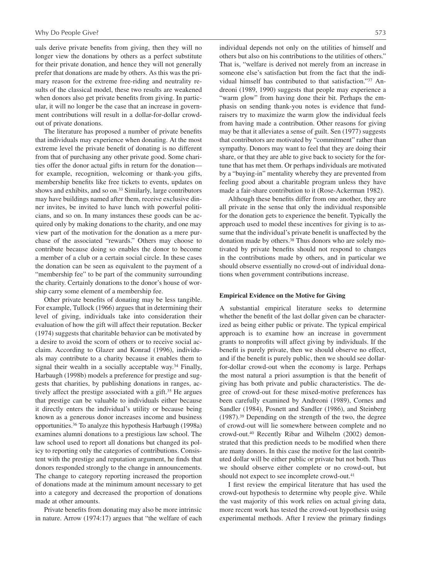uals derive private benefits from giving, then they will no longer view the donations by others as a perfect substitute for their private donation, and hence they will not generally prefer that donations are made by others. As this was the primary reason for the extreme free-riding and neutrality results of the classical model, these two results are weakened when donors also get private benefits from giving. In particular, it will no longer be the case that an increase in government contributions will result in a dollar-for-dollar crowdout of private donations.

The literature has proposed a number of private benefits that individuals may experience when donating. At the most extreme level the private benefit of donating is no different from that of purchasing any other private good. Some charities offer the donor actual gifts in return for the donation for example, recognition, welcoming or thank-you gifts, membership benefits like free tickets to events, updates on shows and exhibits, and so on.<sup>33</sup> Similarly, large contributors may have buildings named after them, receive exclusive dinner invites, be invited to have lunch with powerful politicians, and so on. In many instances these goods can be acquired only by making donations to the charity, and one may view part of the motivation for the donation as a mere purchase of the associated "rewards." Others may choose to contribute because doing so enables the donor to become a member of a club or a certain social circle. In these cases the donation can be seen as equivalent to the payment of a "membership fee" to be part of the community surrounding the charity. Certainly donations to the donor's house of worship carry some element of a membership fee.

Other private benefits of donating may be less tangible. For example, Tullock (1966) argues that in determining their level of giving, individuals take into consideration their evaluation of how the gift will affect their reputation. Becker (1974) suggests that charitable behavior can be motivated by a desire to avoid the scorn of others or to receive social acclaim. According to Glazer and Konrad (1996), individuals may contribute to a charity because it enables them to signal their wealth in a socially acceptable way.34 Finally, Harbaugh (1998b) models a preference for prestige and suggests that charities, by publishing donations in ranges, actively affect the prestige associated with a gift.35 He argues that prestige can be valuable to individuals either because it directly enters the individual's utility or because being known as a generous donor increases income and business opportunities.36 To analyze this hypothesis Harbaugh (1998a) examines alumni donations to a prestigious law school. The law school used to report all donations but changed its policy to reporting only the categories of contributions. Consistent with the prestige and reputation argument, he finds that donors responded strongly to the change in announcements. The change to category reporting increased the proportion of donations made at the minimum amount necessary to get into a category and decreased the proportion of donations made at other amounts.

Private benefits from donating may also be more intrinsic in nature. Arrow (1974:17) argues that "the welfare of each individual depends not only on the utilities of himself and others but also on his contributions to the utilities of others." That is, "welfare is derived not merely from an increase in someone else's satisfaction but from the fact that the individual himself has contributed to that satisfaction."37 Andreoni (1989, 1990) suggests that people may experience a "warm glow" from having done their bit. Perhaps the emphasis on sending thank-you notes is evidence that fundraisers try to maximize the warm glow the individual feels from having made a contribution. Other reasons for giving may be that it alleviates a sense of guilt. Sen (1977) suggests that contributors are motivated by "commitment" rather than sympathy. Donors may want to feel that they are doing their share, or that they are able to give back to society for the fortune that has met them. Or perhaps individuals are motivated by a "buying-in" mentality whereby they are prevented from feeling good about a charitable program unless they have made a fair-share contribution to it (Rose-Ackerman 1982).

Although these benefits differ from one another, they are all private in the sense that only the individual responsible for the donation gets to experience the benefit. Typically the approach used to model these incentives for giving is to assume that the individual's private benefit is unaffected by the donation made by others.<sup>38</sup> Thus donors who are solely motivated by private benefits should not respond to changes in the contributions made by others, and in particular we should observe essentially no crowd-out of individual donations when government contributions increase.

#### **Empirical Evidence on the Motive for Giving**

A substantial empirical literature seeks to determine whether the benefit of the last dollar given can be characterized as being either public or private. The typical empirical approach is to examine how an increase in government grants to nonprofits will affect giving by individuals. If the benefit is purely private, then we should observe no effect, and if the benefit is purely public, then we should see dollarfor-dollar crowd-out when the economy is large. Perhaps the most natural a priori assumption is that the benefit of giving has both private and public characteristics. The degree of crowd-out for these mixed-motive preferences has been carefully examined by Andreoni (1989), Cornes and Sandler (1984), Posnett and Sandler (1986), and Steinberg (1987).39 Depending on the strength of the two, the degree of crowd-out will lie somewhere between complete and no crowd-out.40 Recently Ribar and Wilhelm (2002) demonstrated that this prediction needs to be modified when there are many donors. In this case the motive for the last contributed dollar will be either public or private but not both. Thus we should observe either complete or no crowd-out, but should not expect to see incomplete crowd-out.<sup>41</sup>

I first review the empirical literature that has used the crowd-out hypothesis to determine why people give. While the vast majority of this work relies on actual giving data, more recent work has tested the crowd-out hypothesis using experimental methods. After I review the primary findings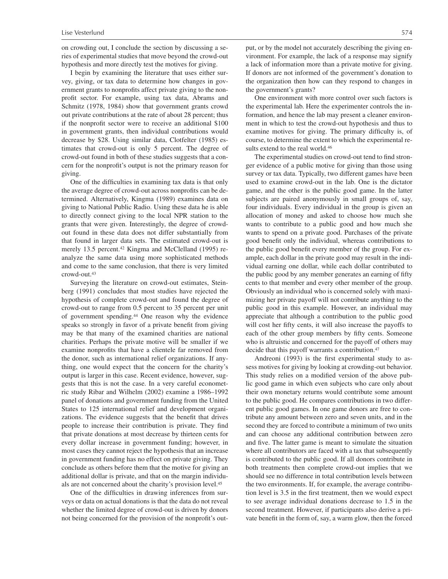on crowding out, I conclude the section by discussing a series of experimental studies that move beyond the crowd-out hypothesis and more directly test the motives for giving.

I begin by examining the literature that uses either survey, giving, or tax data to determine how changes in government grants to nonprofits affect private giving to the nonprofit sector. For example, using tax data, Abrams and Schmitz (1978, 1984) show that government grants crowd out private contributions at the rate of about 28 percent; thus if the nonprofit sector were to receive an additional \$100 in government grants, then individual contributions would decrease by \$28. Using similar data, Clotfelter (1985) estimates that crowd-out is only 5 percent. The degree of crowd-out found in both of these studies suggests that a concern for the nonprofit's output is not the primary reason for giving.

One of the difficulties in examining tax data is that only the average degree of crowd-out across nonprofits can be determined. Alternatively, Kingma (1989) examines data on giving to National Public Radio. Using these data he is able to directly connect giving to the local NPR station to the grants that were given. Interestingly, the degree of crowdout found in these data does not differ substantially from that found in larger data sets. The estimated crowd-out is merely 13.5 percent.<sup>42</sup> Kingma and McClelland (1995) reanalyze the same data using more sophisticated methods and come to the same conclusion, that there is very limited crowd-out.43

Surveying the literature on crowd-out estimates, Steinberg (1991) concludes that most studies have rejected the hypothesis of complete crowd-out and found the degree of crowd-out to range from 0.5 percent to 35 percent per unit of government spending.44 One reason why the evidence speaks so strongly in favor of a private benefit from giving may be that many of the examined charities are national charities. Perhaps the private motive will be smaller if we examine nonprofits that have a clientele far removed from the donor, such as international relief organizations. If anything, one would expect that the concern for the charity's output is larger in this case. Recent evidence, however, suggests that this is not the case. In a very careful econometric study Ribar and Wilhelm (2002) examine a 1986–1992 panel of donations and government funding from the United States to 125 international relief and development organizations. The evidence suggests that the benefit that drives people to increase their contribution is private. They find that private donations at most decrease by thirteen cents for every dollar increase in government funding; however, in most cases they cannot reject the hypothesis that an increase in government funding has no effect on private giving. They conclude as others before them that the motive for giving an additional dollar is private, and that on the margin individuals are not concerned about the charity's provision level.45

One of the difficulties in drawing inferences from surveys or data on actual donations is that the data do not reveal whether the limited degree of crowd-out is driven by donors not being concerned for the provision of the nonprofit's output, or by the model not accurately describing the giving environment. For example, the lack of a response may signify a lack of information more than a private motive for giving. If donors are not informed of the government's donation to the organization then how can they respond to changes in the government's grants?

One environment with more control over such factors is the experimental lab. Here the experimenter controls the information, and hence the lab may present a cleaner environment in which to test the crowd-out hypothesis and thus to examine motives for giving. The primary difficulty is, of course, to determine the extent to which the experimental results extend to the real world.46

The experimental studies on crowd-out tend to find stronger evidence of a public motive for giving than those using survey or tax data. Typically, two different games have been used to examine crowd-out in the lab. One is the dictator game, and the other is the public good game. In the latter subjects are paired anonymously in small groups of, say, four individuals. Every individual in the group is given an allocation of money and asked to choose how much she wants to contribute to a public good and how much she wants to spend on a private good. Purchases of the private good benefit only the individual, whereas contributions to the public good benefit every member of the group. For example, each dollar in the private good may result in the individual earning one dollar, while each dollar contributed to the public good by any member generates an earning of fifty cents to that member and every other member of the group. Obviously an individual who is concerned solely with maximizing her private payoff will not contribute anything to the public good in this example. However, an individual may appreciate that although a contribution to the public good will cost her fifty cents, it will also increase the payoffs to each of the other group members by fifty cents. Someone who is altruistic and concerned for the payoff of others may decide that this payoff warrants a contribution.47

Andreoni (1993) is the first experimental study to assess motives for giving by looking at crowding-out behavior. This study relies on a modified version of the above public good game in which even subjects who care only about their own monetary returns would contribute some amount to the public good. He compares contributions in two different public good games. In one game donors are free to contribute any amount between zero and seven units, and in the second they are forced to contribute a minimum of two units and can choose any additional contribution between zero and five. The latter game is meant to simulate the situation where all contributors are faced with a tax that subsequently is contributed to the public good. If all donors contribute in both treatments then complete crowd-out implies that we should see no difference in total contribution levels between the two environments. If, for example, the average contribution level is 3.5 in the first treatment, then we would expect to see average individual donations decrease to 1.5 in the second treatment. However, if participants also derive a private benefit in the form of, say, a warm glow, then the forced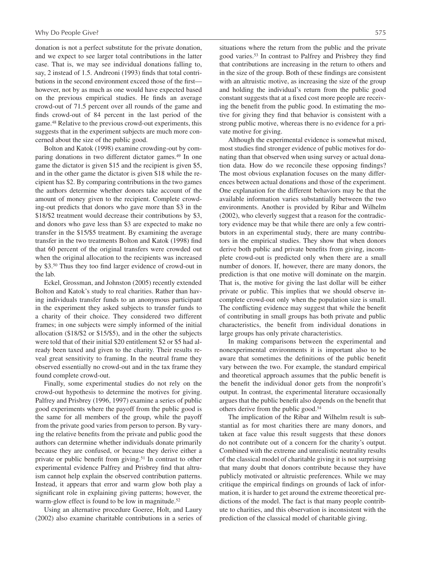donation is not a perfect substitute for the private donation, and we expect to see larger total contributions in the latter case. That is, we may see individual donations falling to, say, 2 instead of 1.5. Andreoni (1993) finds that total contributions in the second environment exceed those of the first however, not by as much as one would have expected based on the previous empirical studies. He finds an average crowd-out of 71.5 percent over all rounds of the game and finds crowd-out of 84 percent in the last period of the game.48 Relative to the previous crowd-out experiments, this suggests that in the experiment subjects are much more concerned about the size of the public good.

Bolton and Katok (1998) examine crowding-out by comparing donations in two different dictator games.49 In one game the dictator is given \$15 and the recipient is given \$5, and in the other game the dictator is given \$18 while the recipient has \$2. By comparing contributions in the two games the authors determine whether donors take account of the amount of money given to the recipient. Complete crowding-out predicts that donors who gave more than \$3 in the \$18/\$2 treatment would decrease their contributions by \$3, and donors who gave less than \$3 are expected to make no transfer in the \$15/\$5 treatment. By examining the average transfer in the two treatments Bolton and Katok (1998) find that 60 percent of the original transfers were crowded out when the original allocation to the recipients was increased by \$3.50 Thus they too find larger evidence of crowd-out in the lab.

Eckel, Grossman, and Johnston (2005) recently extended Bolton and Katok's study to real charities. Rather than having individuals transfer funds to an anonymous participant in the experiment they asked subjects to transfer funds to a charity of their choice. They considered two different frames; in one subjects were simply informed of the initial allocation (\$18/\$2 or \$15/\$5), and in the other the subjects were told that of their initial \$20 entitlement \$2 or \$5 had already been taxed and given to the charity. Their results reveal great sensitivity to framing. In the neutral frame they observed essentially no crowd-out and in the tax frame they found complete crowd-out.

Finally, some experimental studies do not rely on the crowd-out hypothesis to determine the motives for giving. Palfrey and Prisbrey (1996, 1997) examine a series of public good experiments where the payoff from the public good is the same for all members of the group, while the payoff from the private good varies from person to person. By varying the relative benefits from the private and public good the authors can determine whether individuals donate primarily because they are confused, or because they derive either a private or public benefit from giving.51 In contrast to other experimental evidence Palfrey and Prisbrey find that altruism cannot help explain the observed contribution patterns. Instead, it appears that error and warm glow both play a significant role in explaining giving patterns; however, the warm-glow effect is found to be low in magnitude.<sup>52</sup>

Using an alternative procedure Goeree, Holt, and Laury (2002) also examine charitable contributions in a series of situations where the return from the public and the private good varies.53 In contrast to Palfrey and Prisbrey they find that contributions are increasing in the return to others and in the size of the group. Both of these findings are consistent with an altruistic motive, as increasing the size of the group and holding the individual's return from the public good constant suggests that at a fixed cost more people are receiving the benefit from the public good. In estimating the motive for giving they find that behavior is consistent with a strong public motive, whereas there is no evidence for a private motive for giving.

Although the experimental evidence is somewhat mixed, most studies find stronger evidence of public motives for donating than that observed when using survey or actual donation data. How do we reconcile these opposing findings? The most obvious explanation focuses on the many differences between actual donations and those of the experiment. One explanation for the different behaviors may be that the available information varies substantially between the two environments. Another is provided by Ribar and Wilhelm (2002), who cleverly suggest that a reason for the contradictory evidence may be that while there are only a few contributors in an experimental study, there are many contributors in the empirical studies. They show that when donors derive both public and private benefits from giving, incomplete crowd-out is predicted only when there are a small number of donors. If, however, there are many donors, the prediction is that one motive will dominate on the margin. That is, the motive for giving the last dollar will be either private or public. This implies that we should observe incomplete crowd-out only when the population size is small. The conflicting evidence may suggest that while the benefit of contributing in small groups has both private and public characteristics, the benefit from individual donations in large groups has only private characteristics.

In making comparisons between the experimental and nonexperimental environments it is important also to be aware that sometimes the definitions of the public benefit vary between the two. For example, the standard empirical and theoretical approach assumes that the public benefit is the benefit the individual donor gets from the nonprofit's output. In contrast, the experimental literature occasionally argues that the public benefit also depends on the benefit that others derive from the public good.54

The implication of the Ribar and Wilhelm result is substantial as for most charities there are many donors, and taken at face value this result suggests that these donors do not contribute out of a concern for the charity's output. Combined with the extreme and unrealistic neutrality results of the classical model of charitable giving it is not surprising that many doubt that donors contribute because they have publicly motivated or altruistic preferences. While we may critique the empirical findings on grounds of lack of information, it is harder to get around the extreme theoretical predictions of the model. The fact is that many people contribute to charities, and this observation is inconsistent with the prediction of the classical model of charitable giving.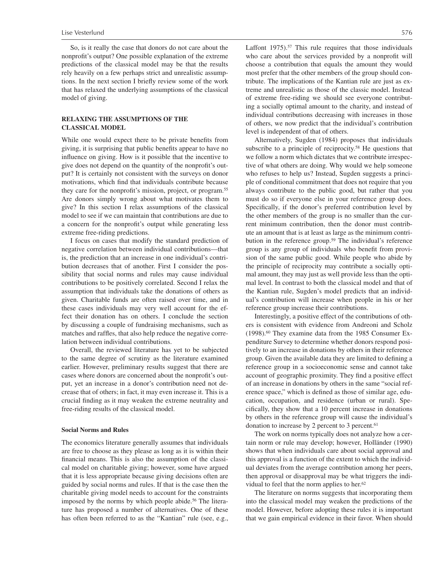So, is it really the case that donors do not care about the nonprofit's output? One possible explanation of the extreme predictions of the classical model may be that the results rely heavily on a few perhaps strict and unrealistic assumptions. In the next section I briefly review some of the work that has relaxed the underlying assumptions of the classical model of giving.

#### **RELAXING THE ASSUMPTIONS OF THE CLASSICAL MODEL**

While one would expect there to be private benefits from giving, it is surprising that public benefits appear to have no influence on giving. How is it possible that the incentive to give does not depend on the quantity of the nonprofit's output? It is certainly not consistent with the surveys on donor motivations, which find that individuals contribute because they care for the nonprofit's mission, project, or program.55 Are donors simply wrong about what motivates them to give? In this section I relax assumptions of the classical model to see if we can maintain that contributions are due to a concern for the nonprofit's output while generating less extreme free-riding predictions.

I focus on cases that modify the standard prediction of negative correlation between individual contributions—that is, the prediction that an increase in one individual's contribution decreases that of another. First I consider the possibility that social norms and rules may cause individual contributions to be positively correlated. Second I relax the assumption that individuals take the donations of others as given. Charitable funds are often raised over time, and in these cases individuals may very well account for the effect their donation has on others. I conclude the section by discussing a couple of fundraising mechanisms, such as matches and raffles, that also help reduce the negative correlation between individual contributions.

Overall, the reviewed literature has yet to be subjected to the same degree of scrutiny as the literature examined earlier. However, preliminary results suggest that there are cases where donors are concerned about the nonprofit's output, yet an increase in a donor's contribution need not decrease that of others; in fact, it may even increase it. This is a crucial finding as it may weaken the extreme neutrality and free-riding results of the classical model.

#### **Social Norms and Rules**

The economics literature generally assumes that individuals are free to choose as they please as long as it is within their financial means. This is also the assumption of the classical model on charitable giving; however, some have argued that it is less appropriate because giving decisions often are guided by social norms and rules. If that is the case then the charitable giving model needs to account for the constraints imposed by the norms by which people abide.<sup>56</sup> The literature has proposed a number of alternatives. One of these has often been referred to as the "Kantian" rule (see, e.g., Laffont 1975).<sup>57</sup> This rule requires that those individuals who care about the services provided by a nonprofit will choose a contribution that equals the amount they would most prefer that the other members of the group should contribute. The implications of the Kantian rule are just as extreme and unrealistic as those of the classic model. Instead of extreme free-riding we should see everyone contributing a socially optimal amount to the charity, and instead of individual contributions decreasing with increases in those of others, we now predict that the individual's contribution level is independent of that of others.

Alternatively, Sugden (1984) proposes that individuals subscribe to a principle of reciprocity.58 He questions that we follow a norm which dictates that we contribute irrespective of what others are doing. Why would we help someone who refuses to help us? Instead, Sugden suggests a principle of conditional commitment that does not require that you always contribute to the public good, but rather that you must do so if everyone else in your reference group does. Specifically, if the donor's preferred contribution level by the other members of the group is no smaller than the current minimum contribution, then the donor must contribute an amount that is at least as large as the minimum contribution in the reference group.59 The individual's reference group is any group of individuals who benefit from provision of the same public good. While people who abide by the principle of reciprocity may contribute a socially optimal amount, they may just as well provide less than the optimal level. In contrast to both the classical model and that of the Kantian rule, Sugden's model predicts that an individual's contribution will increase when people in his or her reference group increase their contributions.

Interestingly, a positive effect of the contributions of others is consistent with evidence from Andreoni and Scholz (1998).60 They examine data from the 1985 Consumer Expenditure Survey to determine whether donors respond positively to an increase in donations by others in their reference group. Given the available data they are limited to defining a reference group in a socioeconomic sense and cannot take account of geographic proximity. They find a positive effect of an increase in donations by others in the same "social reference space," which is defined as those of similar age, education, occupation, and residence (urban or rural). Specifically, they show that a 10 percent increase in donations by others in the reference group will cause the individual's donation to increase by 2 percent to 3 percent.<sup>61</sup>

The work on norms typically does not analyze how a certain norm or rule may develop; however, Holländer (1990) shows that when individuals care about social approval and this approval is a function of the extent to which the individual deviates from the average contribution among her peers, then approval or disapproval may be what triggers the individual to feel that the norm applies to her.<sup>62</sup>

The literature on norms suggests that incorporating them into the classical model may weaken the predictions of the model. However, before adopting these rules it is important that we gain empirical evidence in their favor. When should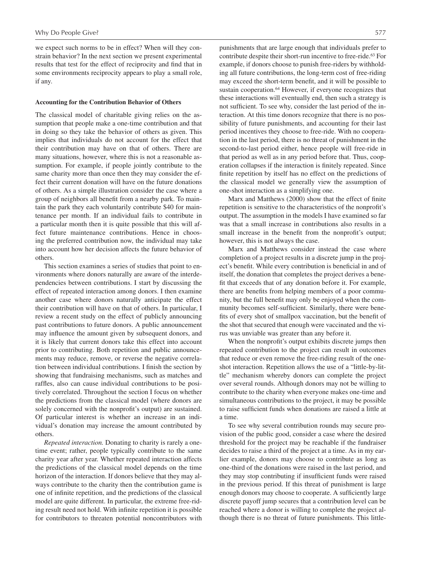we expect such norms to be in effect? When will they constrain behavior? In the next section we present experimental results that test for the effect of reciprocity and find that in some environments reciprocity appears to play a small role, if any.

#### **Accounting for the Contribution Behavior of Others**

The classical model of charitable giving relies on the assumption that people make a one-time contribution and that in doing so they take the behavior of others as given. This implies that individuals do not account for the effect that their contribution may have on that of others. There are many situations, however, where this is not a reasonable assumption. For example, if people jointly contribute to the same charity more than once then they may consider the effect their current donation will have on the future donations of others. As a simple illustration consider the case where a group of neighbors all benefit from a nearby park. To maintain the park they each voluntarily contribute \$40 for maintenance per month. If an individual fails to contribute in a particular month then it is quite possible that this will affect future maintenance contributions. Hence in choosing the preferred contribution now, the individual may take into account how her decision affects the future behavior of others.

This section examines a series of studies that point to environments where donors naturally are aware of the interdependencies between contributions. I start by discussing the effect of repeated interaction among donors. I then examine another case where donors naturally anticipate the effect their contribution will have on that of others. In particular, I review a recent study on the effect of publicly announcing past contributions to future donors. A public announcement may influence the amount given by subsequent donors, and it is likely that current donors take this effect into account prior to contributing. Both repetition and public announcements may reduce, remove, or reverse the negative correlation between individual contributions. I finish the section by showing that fundraising mechanisms, such as matches and raffles, also can cause individual contributions to be positively correlated. Throughout the section I focus on whether the predictions from the classical model (where donors are solely concerned with the nonprofit's output) are sustained. Of particular interest is whether an increase in an individual's donation may increase the amount contributed by others.

*Repeated interaction.* Donating to charity is rarely a onetime event; rather, people typically contribute to the same charity year after year. Whether repeated interaction affects the predictions of the classical model depends on the time horizon of the interaction. If donors believe that they may always contribute to the charity then the contribution game is one of infinite repetition, and the predictions of the classical model are quite different. In particular, the extreme free-riding result need not hold. With infinite repetition it is possible for contributors to threaten potential noncontributors with punishments that are large enough that individuals prefer to contribute despite their short-run incentive to free-ride.<sup>63</sup> For example, if donors choose to punish free-riders by withholding all future contributions, the long-term cost of free-riding may exceed the short-term benefit, and it will be possible to sustain cooperation.64 However, if everyone recognizes that these interactions will eventually end, then such a strategy is not sufficient. To see why, consider the last period of the interaction. At this time donors recognize that there is no possibility of future punishments, and accounting for their last period incentives they choose to free-ride. With no cooperation in the last period, there is no threat of punishment in the second-to-last period either, hence people will free-ride in that period as well as in any period before that. Thus, cooperation collapses if the interaction is finitely repeated. Since finite repetition by itself has no effect on the predictions of the classical model we generally view the assumption of one-shot interaction as a simplifying one.

Marx and Matthews (2000) show that the effect of finite repetition is sensitive to the characteristics of the nonprofit's output. The assumption in the models I have examined so far was that a small increase in contributions also results in a small increase in the benefit from the nonprofit's output; however, this is not always the case.

Marx and Matthews consider instead the case where completion of a project results in a discrete jump in the project's benefit. While every contribution is beneficial in and of itself, the donation that completes the project derives a benefit that exceeds that of any donation before it. For example, there are benefits from helping members of a poor community, but the full benefit may only be enjoyed when the community becomes self-sufficient. Similarly, there were benefits of every shot of smallpox vaccination, but the benefit of the shot that secured that enough were vaccinated and the virus was unviable was greater than any before it.

When the nonprofit's output exhibits discrete jumps then repeated contribution to the project can result in outcomes that reduce or even remove the free-riding result of the oneshot interaction. Repetition allows the use of a "little-by-little" mechanism whereby donors can complete the project over several rounds. Although donors may not be willing to contribute to the charity when everyone makes one-time and simultaneous contributions to the project, it may be possible to raise sufficient funds when donations are raised a little at a time.

To see why several contribution rounds may secure provision of the public good, consider a case where the desired threshold for the project may be reachable if the fundraiser decides to raise a third of the project at a time. As in my earlier example, donors may choose to contribute as long as one-third of the donations were raised in the last period, and they may stop contributing if insufficient funds were raised in the previous period. If this threat of punishment is large enough donors may choose to cooperate. A sufficiently large discrete payoff jump secures that a contribution level can be reached where a donor is willing to complete the project although there is no threat of future punishments. This little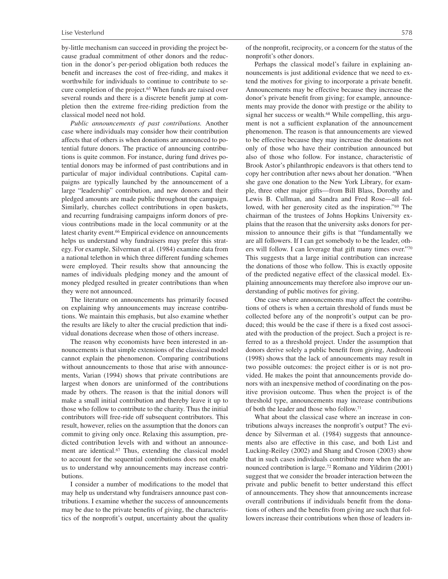by-little mechanism can succeed in providing the project because gradual commitment of other donors and the reduction in the donor's per-period obligation both reduces the benefit and increases the cost of free-riding, and makes it worthwhile for individuals to continue to contribute to secure completion of the project.65 When funds are raised over several rounds and there is a discrete benefit jump at completion then the extreme free-riding prediction from the classical model need not hold.

*Public announcements of past contributions.* Another case where individuals may consider how their contribution affects that of others is when donations are announced to potential future donors. The practice of announcing contributions is quite common. For instance, during fund drives potential donors may be informed of past contributions and in particular of major individual contributions. Capital campaigns are typically launched by the announcement of a large "leadership" contribution, and new donors and their pledged amounts are made public throughout the campaign. Similarly, churches collect contributions in open baskets, and recurring fundraising campaigns inform donors of previous contributions made in the local community or at the latest charity event.66 Empirical evidence on announcements helps us understand why fundraisers may prefer this strategy. For example, Silverman et al. (1984) examine data from a national telethon in which three different funding schemes were employed. Their results show that announcing the names of individuals pledging money and the amount of money pledged resulted in greater contributions than when they were not announced.

The literature on announcements has primarily focused on explaining why announcements may increase contributions. We maintain this emphasis, but also examine whether the results are likely to alter the crucial prediction that individual donations decrease when those of others increase.

The reason why economists have been interested in announcements is that simple extensions of the classical model cannot explain the phenomenon. Comparing contributions without announcements to those that arise with announcements, Varian (1994) shows that private contributions are largest when donors are uninformed of the contributions made by others. The reason is that the initial donors will make a small initial contribution and thereby leave it up to those who follow to contribute to the charity. Thus the initial contributors will free-ride off subsequent contributors. This result, however, relies on the assumption that the donors can commit to giving only once. Relaxing this assumption, predicted contribution levels with and without an announcement are identical.67 Thus, extending the classical model to account for the sequential contributions does not enable us to understand why announcements may increase contributions.

I consider a number of modifications to the model that may help us understand why fundraisers announce past contributions. I examine whether the success of announcements may be due to the private benefits of giving, the characteristics of the nonprofit's output, uncertainty about the quality of the nonprofit, reciprocity, or a concern for the status of the nonprofit's other donors.

Perhaps the classical model's failure in explaining announcements is just additional evidence that we need to extend the motives for giving to incorporate a private benefit. Announcements may be effective because they increase the donor's private benefit from giving; for example, announcements may provide the donor with prestige or the ability to signal her success or wealth.68 While compelling, this argument is not a sufficient explanation of the announcement phenomenon. The reason is that announcements are viewed to be effective because they may increase the donations not only of those who have their contribution announced but also of those who follow. For instance, characteristic of Brook Astor's philanthropic endeavors is that others tend to copy her contribution after news about her donation. "When she gave one donation to the New York Library, for example, three other major gifts—from Bill Blass, Dorothy and Lewis B. Cullman, and Sandra and Fred Rose—all followed, with her generosity cited as the inspiration."69 The chairman of the trustees of Johns Hopkins University explains that the reason that the university asks donors for permission to announce their gifts is that "fundamentally we are all followers. If I can get somebody to be the leader, others will follow. I can leverage that gift many times over."70 This suggests that a large initial contribution can increase the donations of those who follow. This is exactly opposite of the predicted negative effect of the classical model. Explaining announcements may therefore also improve our understanding of public motives for giving.

One case where announcements may affect the contributions of others is when a certain threshold of funds must be collected before any of the nonprofit's output can be produced; this would be the case if there is a fixed cost associated with the production of the project. Such a project is referred to as a threshold project. Under the assumption that donors derive solely a public benefit from giving, Andreoni (1998) shows that the lack of announcements may result in two possible outcomes: the project either is or is not provided. He makes the point that announcements provide donors with an inexpensive method of coordinating on the positive provision outcome. Thus when the project is of the threshold type, announcements may increase contributions of both the leader and those who follow.71

What about the classical case where an increase in contributions always increases the nonprofit's output? The evidence by Silverman et al. (1984) suggests that announcements also are effective in this case, and both List and Lucking-Reiley (2002) and Shang and Croson (2003) show that in such cases individuals contribute more when the announced contribution is large.72 Romano and Yildirim (2001) suggest that we consider the broader interaction between the private and public benefit to better understand this effect of announcements. They show that announcements increase overall contributions if individuals benefit from the donations of others and the benefits from giving are such that followers increase their contributions when those of leaders in-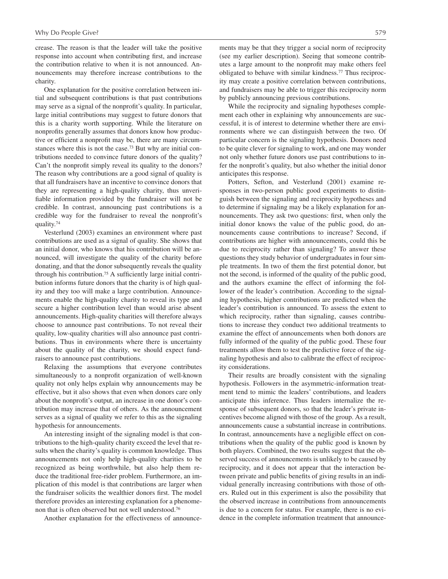crease. The reason is that the leader will take the positive response into account when contributing first, and increase the contribution relative to when it is not announced. Announcements may therefore increase contributions to the charity.

One explanation for the positive correlation between initial and subsequent contributions is that past contributions may serve as a signal of the nonprofit's quality. In particular, large initial contributions may suggest to future donors that this is a charity worth supporting. While the literature on nonprofits generally assumes that donors know how productive or efficient a nonprofit may be, there are many circumstances where this is not the case.73 But why are initial contributions needed to convince future donors of the quality? Can't the nonprofit simply reveal its quality to the donors? The reason why contributions are a good signal of quality is that all fundraisers have an incentive to convince donors that they are representing a high-quality charity, thus unverifiable information provided by the fundraiser will not be credible. In contrast, announcing past contributions is a credible way for the fundraiser to reveal the nonprofit's quality.74

Vesterlund (2003) examines an environment where past contributions are used as a signal of quality. She shows that an initial donor, who knows that his contribution will be announced, will investigate the quality of the charity before donating, and that the donor subsequently reveals the quality through his contribution.75 A sufficiently large initial contribution informs future donors that the charity is of high quality and they too will make a large contribution. Announcements enable the high-quality charity to reveal its type and secure a higher contribution level than would arise absent announcements. High-quality charities will therefore always choose to announce past contributions. To not reveal their quality, low-quality charities will also announce past contributions. Thus in environments where there is uncertainty about the quality of the charity, we should expect fundraisers to announce past contributions.

Relaxing the assumptions that everyone contributes simultaneously to a nonprofit organization of well-known quality not only helps explain why announcements may be effective, but it also shows that even when donors care only about the nonprofit's output, an increase in one donor's contribution may increase that of others. As the announcement serves as a signal of quality we refer to this as the signaling hypothesis for announcements.

An interesting insight of the signaling model is that contributions to the high-quality charity exceed the level that results when the charity's quality is common knowledge. Thus announcements not only help high-quality charities to be recognized as being worthwhile, but also help them reduce the traditional free-rider problem. Furthermore, an implication of this model is that contributions are larger when the fundraiser solicits the wealthier donors first. The model therefore provides an interesting explanation for a phenomenon that is often observed but not well understood.76

Another explanation for the effectiveness of announce-

ments may be that they trigger a social norm of reciprocity (see my earlier description). Seeing that someone contributes a large amount to the nonprofit may make others feel obligated to behave with similar kindness.77 Thus reciprocity may create a positive correlation between contributions, and fundraisers may be able to trigger this reciprocity norm by publicly announcing previous contributions.

While the reciprocity and signaling hypotheses complement each other in explaining why announcements are successful, it is of interest to determine whether there are environments where we can distinguish between the two. Of particular concern is the signaling hypothesis. Donors need to be quite clever for signaling to work, and one may wonder not only whether future donors use past contributions to infer the nonprofit's quality, but also whether the initial donor anticipates this response.

Potters, Sefton, and Vesterlund (2001) examine responses in two-person public good experiments to distinguish between the signaling and reciprocity hypotheses and to determine if signaling may be a likely explanation for announcements. They ask two questions: first, when only the initial donor knows the value of the public good, do announcements cause contributions to increase? Second, if contributions are higher with announcements, could this be due to reciprocity rather than signaling? To answer these questions they study behavior of undergraduates in four simple treatments. In two of them the first potential donor, but not the second, is informed of the quality of the public good, and the authors examine the effect of informing the follower of the leader's contribution. According to the signaling hypothesis, higher contributions are predicted when the leader's contribution is announced. To assess the extent to which reciprocity, rather than signaling, causes contributions to increase they conduct two additional treatments to examine the effect of announcements when both donors are fully informed of the quality of the public good. These four treatments allow them to test the predictive force of the signaling hypothesis and also to calibrate the effect of reciprocity considerations.

Their results are broadly consistent with the signaling hypothesis. Followers in the asymmetric-information treatment tend to mimic the leaders' contributions, and leaders anticipate this inference. Thus leaders internalize the response of subsequent donors, so that the leader's private incentives become aligned with those of the group. As a result, announcements cause a substantial increase in contributions. In contrast, announcements have a negligible effect on contributions when the quality of the public good is known by both players. Combined, the two results suggest that the observed success of announcements is unlikely to be caused by reciprocity, and it does not appear that the interaction between private and public benefits of giving results in an individual generally increasing contributions with those of others. Ruled out in this experiment is also the possibility that the observed increase in contributions from announcements is due to a concern for status. For example, there is no evidence in the complete information treatment that announce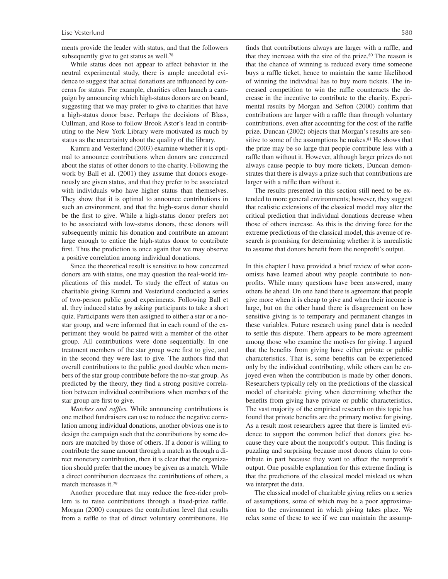ments provide the leader with status, and that the followers subsequently give to get status as well.<sup>78</sup>

While status does not appear to affect behavior in the neutral experimental study, there is ample anecdotal evidence to suggest that actual donations are influenced by concerns for status. For example, charities often launch a campaign by announcing which high-status donors are on board, suggesting that we may prefer to give to charities that have a high-status donor base. Perhaps the decisions of Blass, Cullman, and Rose to follow Brook Astor's lead in contributing to the New York Library were motivated as much by status as the uncertainty about the quality of the library.

Kumru and Vesterlund (2003) examine whether it is optimal to announce contributions when donors are concerned about the status of other donors to the charity. Following the work by Ball et al. (2001) they assume that donors exogenously are given status, and that they prefer to be associated with individuals who have higher status than themselves. They show that it is optimal to announce contributions in such an environment, and that the high-status donor should be the first to give. While a high-status donor prefers not to be associated with low-status donors, these donors will subsequently mimic his donation and contribute an amount large enough to entice the high-status donor to contribute first. Thus the prediction is once again that we may observe a positive correlation among individual donations.

Since the theoretical result is sensitive to how concerned donors are with status, one may question the real-world implications of this model. To study the effect of status on charitable giving Kumru and Vesterlund conducted a series of two-person public good experiments. Following Ball et al. they induced status by asking participants to take a short quiz. Participants were then assigned to either a star or a nostar group, and were informed that in each round of the experiment they would be paired with a member of the other group. All contributions were done sequentially. In one treatment members of the star group were first to give, and in the second they were last to give. The authors find that overall contributions to the public good double when members of the star group contribute before the no-star group. As predicted by the theory, they find a strong positive correlation between individual contributions when members of the star group are first to give.

*Matches and raffles.* While announcing contributions is one method fundraisers can use to reduce the negative correlation among individual donations, another obvious one is to design the campaign such that the contributions by some donors are matched by those of others. If a donor is willing to contribute the same amount through a match as through a direct monetary contribution, then it is clear that the organization should prefer that the money be given as a match. While a direct contribution decreases the contributions of others, a match increases it.79

Another procedure that may reduce the free-rider problem is to raise contributions through a fixed-prize raffle. Morgan (2000) compares the contribution level that results from a raffle to that of direct voluntary contributions. He

finds that contributions always are larger with a raffle, and that they increase with the size of the prize.<sup>80</sup> The reason is that the chance of winning is reduced every time someone buys a raffle ticket, hence to maintain the same likelihood of winning the individual has to buy more tickets. The increased competition to win the raffle counteracts the decrease in the incentive to contribute to the charity. Experimental results by Morgan and Sefton (2000) confirm that contributions are larger with a raffle than through voluntary contributions, even after accounting for the cost of the raffle prize. Duncan (2002) objects that Morgan's results are sensitive to some of the assumptions he makes.81 He shows that the prize may be so large that people contribute less with a raffle than without it. However, although larger prizes do not always cause people to buy more tickets, Duncan demonstrates that there is always a prize such that contributions are larger with a raffle than without it.

The results presented in this section still need to be extended to more general environments; however, they suggest that realistic extensions of the classical model may alter the critical prediction that individual donations decrease when those of others increase. As this is the driving force for the extreme predictions of the classical model, this avenue of research is promising for determining whether it is unrealistic to assume that donors benefit from the nonprofit's output.

In this chapter I have provided a brief review of what economists have learned about why people contribute to nonprofits. While many questions have been answered, many others lie ahead. On one hand there is agreement that people give more when it is cheap to give and when their income is large, but on the other hand there is disagreement on how sensitive giving is to temporary and permanent changes in these variables. Future research using panel data is needed to settle this dispute. There appears to be more agreement among those who examine the motives for giving. I argued that the benefits from giving have either private or public characteristics. That is, some benefits can be experienced only by the individual contributing, while others can be enjoyed even when the contribution is made by other donors. Researchers typically rely on the predictions of the classical model of charitable giving when determining whether the benefits from giving have private or public characteristics. The vast majority of the empirical research on this topic has found that private benefits are the primary motive for giving. As a result most researchers agree that there is limited evidence to support the common belief that donors give because they care about the nonprofit's output. This finding is puzzling and surprising because most donors claim to contribute in part because they want to affect the nonprofit's output. One possible explanation for this extreme finding is that the predictions of the classical model mislead us when we interpret the data.

The classical model of charitable giving relies on a series of assumptions, some of which may be a poor approximation to the environment in which giving takes place. We relax some of these to see if we can maintain the assump-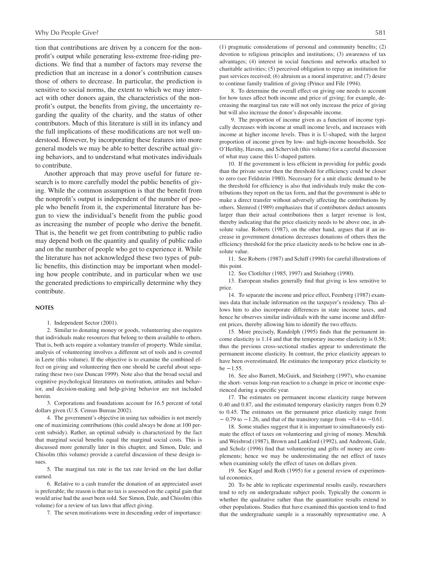tion that contributions are driven by a concern for the nonprofit's output while generating less-extreme free-riding predictions. We find that a number of factors may reverse the prediction that an increase in a donor's contribution causes those of others to decrease. In particular, the prediction is sensitive to social norms, the extent to which we may interact with other donors again, the characteristics of the nonprofit's output, the benefits from giving, the uncertainty regarding the quality of the charity, and the status of other contributors. Much of this literature is still in its infancy and the full implications of these modifications are not well understood. However, by incorporating these features into more general models we may be able to better describe actual giving behaviors, and to understand what motivates individuals to contribute.

Another approach that may prove useful for future research is to more carefully model the public benefits of giving. While the common assumption is that the benefit from the nonprofit's output is independent of the number of people who benefit from it, the experimental literature has begun to view the individual's benefit from the public good as increasing the number of people who derive the benefit. That is, the benefit we get from contributing to public radio may depend both on the quantity and quality of public radio and on the number of people who get to experience it. While the literature has not acknowledged these two types of public benefits, this distinction may be important when modeling how people contribute, and in particular when we use the generated predictions to empirically determine why they contribute.

#### **NOTES**

1. Independent Sector (2001).

2. Similar to donating money or goods, volunteering also requires that individuals make resources that belong to them available to others. That is, both acts require a voluntary transfer of property. While similar, analysis of volunteering involves a different set of tools and is covered in Leete (this volume). If the objective is to examine the combined effect on giving and volunteering then one should be careful about separating these two (see Duncan 1999). Note also that the broad social and cognitive psychological literatures on motivation, attitudes and behavior, and decision-making and help-giving behavior are not included herein.

3. Corporations and foundations account for 16.5 percent of total dollars given (U.S. Census Bureau 2002).

4. The government's objective in using tax subsidies is not merely one of maximizing contributions (this could always be done at 100 percent subsidy). Rather, an optimal subsidy is characterized by the fact that marginal social benefits equal the marginal social costs. This is discussed more generally later in this chapter, and Simon, Dale, and Chisolm (this volume) provide a careful discussion of these design issues.

5. The marginal tax rate is the tax rate levied on the last dollar earned.

6. Relative to a cash transfer the donation of an appreciated asset is preferable; the reason is that no tax is assessed on the capital gain that would arise had the asset been sold. See Simon, Dale, and Chisolm (this volume) for a review of tax laws that affect giving.

7. The seven motivations were in descending order of importance:

(1) pragmatic considerations of personal and community benefits; (2) devotion to religious principles and institutions; (3) awareness of tax advantages; (4) interest in social functions and networks attached to charitable activities; (5) perceived obligation to repay an institution for past services received; (6) altruism as a moral imperative; and (7) desire to continue family tradition of giving (Prince and File 1994).

8. To determine the overall effect on giving one needs to account for how taxes affect both income and price of giving; for example, decreasing the marginal tax rate will not only increase the price of giving but will also increase the donor's disposable income.

9. The proportion of income given as a function of income typically decreases with income at small income levels, and increases with income at higher income levels. Thus it is U-shaped, with the largest proportion of income given by low- and high-income households. See O'Herlihy, Havens, and Schervish (this volume) for a careful discussion of what may cause this U-shaped pattern.

10. If the government is less efficient in providing for public goods than the private sector then the threshold for efficiency could be closer to zero (see Feldstein 1980). Necessary for a unit elastic demand to be the threshold for efficiency is also that individuals truly make the contributions they report on the tax form, and that the government is able to make a direct transfer without adversely affecting the contributions by others. Slemrod (1989) emphasizes that if contributors deduct amounts larger than their actual contributions then a larger revenue is lost, thereby indicating that the price elasticity needs to be above one, in absolute value. Roberts (1987), on the other hand, argues that if an increase in government donations decreases donations of others then the efficiency threshold for the price elasticity needs to be below one in absolute value.

11. See Roberts (1987) and Schiff (1990) for careful illustrations of this point.

12. See Clotfelter (1985, 1997) and Steinberg (1990).

13. European studies generally find that giving is less sensitive to price.

14. To separate the income and price effect, Feenberg (1987) examines data that include information on the taxpayer's residency. This allows him to also incorporate differences in state income taxes, and hence he observes similar individuals with the same income and different prices, thereby allowing him to identify the two effects.

15. More precisely, Randolph (1995) finds that the permanent income elasticity is 1.14 and that the temporary income elasticity is 0.58; thus the previous cross-sectional studies appear to underestimate the permanent income elasticity. In contrast, the price elasticity appears to have been overestimated. He estimates the temporary price elasticity to  $be$   $-1.55$ .

16. See also Barrett, McGuirk, and Steinberg (1997), who examine the short- versus long-run reaction to a change in price or income experienced during a specific year.

17. The estimates on permanent income elasticity range between 0.40 and 0.87, and the estimated temporary elasticity ranges from 0.29 to 0.45. The estimates on the permanent price elasticity range from − 0.79 to −1.26, and that of the transitory range from −0.4 to −0.61.

18. Some studies suggest that it is important to simultaneously estimate the effect of taxes on volunteering and giving of money. Menchik and Weisbrod (1987), Brown and Lankford (1992), and Andreoni, Gale, and Scholz (1996) find that volunteering and gifts of money are complements; hence we may be underestimating the net effect of taxes when examining solely the effect of taxes on dollars given.

19. See Kagel and Roth (1995) for a general review of experimental economics.

20. To be able to replicate experimental results easily, researchers tend to rely on undergraduate subject pools. Typically the concern is whether the qualitative rather than the quantitative results extend to other populations. Studies that have examined this question tend to find that the undergraduate sample is a reasonably representative one. A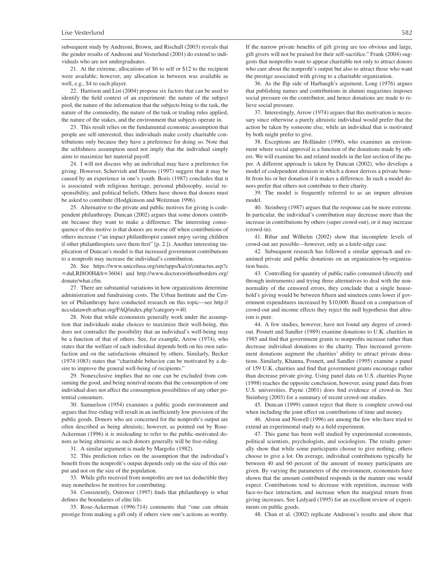subsequent study by Andreoni, Brown, and Rischall (2003) reveals that the gender results of Andreoni and Vesterlund (2001) do extend to individuals who are not undergraduates.

21. At the extreme, allocations of \$6 to self or \$12 to the recipient were available; however, any allocation in between was available as well, e.g., \$4 to each player.

22. Harrison and List (2004) propose six factors that can be used to identify the field context of an experiment: the nature of the subject pool, the nature of the information that the subjects bring to the task, the nature of the commodity, the nature of the task or trading rules applied, the nature of the stakes, and the environment that subjects operate in.

23. This result relies on the fundamental economic assumption that people are self-interested, thus individuals make costly charitable contributions only because they have a preference for doing so. Note that the selfishness assumption need not imply that the individual simply aims to maximize her material payoff.

24. I will not discuss why an individual may have a preference for giving. However, Schervish and Havens (1997) suggest that it may be caused by an experience in one's youth. Boris (1987) concludes that it is associated with religious heritage, personal philosophy, social responsibility, and political beliefs. Others have shown that donors must be asked to contribute (Hodgkinson and Weitzman 1996).

25. Alternative to the private and public motives for giving is codependent philanthropy. Duncan (2002) argues that some donors contribute because they want to make a difference. The interesting consequence of this motive is that donors are worse off when contributions of others increase ("an impact philanthropist cannot enjoy saving children if other philanthropists save them first" [p. 2.]). Another interesting implication of Duncan's model is that increased government contributions to a nonprofit may increase the individual's contribution.

26. See https://www.unicefusa.org/site/apps/ka/ct/contactus.asp?c =duLRI8O0H&b=36041 and http://www.doctorswithoutborders.org/ donate/what.cfm.

27. There are substantial variations in how organizations determine administration and fundraising costs. The Urban Institute and the Center of Philanthropy have conducted research on this topic—see http:// nccsdataweb.urban.org/FAQ/index.php?category=40.

28. Note that while economists generally work under the assumption that individuals make choices to maximize their well-being, this does not contradict the possibility that an individual's well-being may be a function of that of others. See, for example, Arrow (1974), who states that the welfare of each individual depends both on his own satisfaction and on the satisfactions obtained by others. Similarly, Becker (1974:1083) states that "charitable behavior can be motivated by a desire to improve the general well-being of recipients."

29. Nonexclusive implies that no one can be excluded from consuming the good, and being nonrival means that the consumption of one individual does not affect the consumption possibilities of any other potential consumers.

30. Samuelson (1954) examines a public goods environment and argues that free-riding will result in an inefficiently low provision of the public goods. Donors who are concerned for the nonprofit's output are often described as being altruistic; however, as pointed out by Rose-Ackerman (1996) it is misleading to refer to the public-motivated donors as being altruistic as such donors generally will be free-riding.

31. A similar argument is made by Margolis (1982).

32. This prediction relies on the assumption that the individual's benefit from the nonprofit's output depends only on the size of this output and not on the size of the population.

33. While gifts received from nonprofits are not tax deductible they may nonetheless be motives for contributing.

34. Consistently, Ostrower (1997) finds that philanthropy is what defines the boundaries of elite life.

35. Rose-Ackerman (1996:714) comments that "one can obtain prestige from making a gift only if others view one's actions as worthy. If the narrow private benefits of gift giving are too obvious and large, gift givers will not be praised for their self-sacrifice." Frank (2004) suggests that nonprofits want to appear charitable not only to attract donors who care about the nonprofit's output but also to attract those who want the prestige associated with giving to a charitable organization.

36. As the flip side of Harbaugh's argument, Long (1976) argues that publishing names and contributions in alumni magazines imposes social pressure on the contributor, and hence donations are made to relieve social pressure.

37. Interestingly, Arrow (1974) argues that this motivation is necessary since otherwise a purely altruistic individual would prefer that the action be taken by someone else, while an individual that is motivated by both might prefer to give.

38. Exceptions are Holländer (1990), who examines an environment where social approval is a function of the donations made by others. We will examine his and related models in the last section of the paper. A different approach is taken by Duncan (2002), who develops a model of codependent altruism in which a donor derives a private benefit from his or her donation if it makes a difference. In such a model donors prefer that others not contribute to their charity.

39. The model is frequently referred to as an impure altruism model.

40. Steinberg (1987) argues that the response can be more extreme. In particular, the individual's contribution may decrease more than the increase in contributions by others (super crowd-out), or it may increase (crowd-in).

41. Ribar and Wilhelm (2002) show that incomplete levels of crowd-out are possible—however, only as a knife-edge case.

42. Subsequent research has followed a similar approach and examined private and public donations on an organization-by-organization basis.

43. Controlling for quantity of public radio consumed (directly and through instruments) and trying three alternatives to deal with the nonnormality of the censored errors, they conclude that a single household's giving would be between fifteen and nineteen cents lower if government expenditures increased by \$10,000. Based on a comparison of crowd-out and income effects they reject the null hypothesis that altruism is pure.

44. A few studies, however, have not found any degree of crowdout. Posnett and Sandler (1989) examine donations to U.K. charities in 1985 and find that government grants to nonprofits increase rather than decrease individual donations to the charity. Thus increased government donations augment the charities' ability to attract private donations. Similarly, Khanna, Posnett, and Sandler (1995) examine a panel of 159 U.K. charities and find that government grants encourage rather than decrease private giving. Using panel data on U.S. charities Payne (1998) reaches the opposite conclusion, however, using panel data from U.S. universities. Payne (2001) does find evidence of crowd-in. See Steinberg (2003) for a summary of recent crowd-out studies.

45. Duncan (1999) cannot reject that there is complete crowd-out when including the joint effect on contributions of time and money.

46. Alston and Nowell (1996) are among the few who have tried to extend an experimental study to a field experiment.

47. This game has been well studied by experimental economists, political scientists, psychologists, and sociologists. The results generally show that while some participants choose to give nothing, others choose to give a lot. On average, individual contributions typically lie between 40 and 60 percent of the amount of money participants are given. By varying the parameters of the environment, economists have shown that the amount contributed responds in the manner one would expect. Contributions tend to decrease with repetition, increase with face-to-face interaction, and increase when the marginal return from giving increases. See Ledyard (1995) for an excellent review of experiments on public goods.

48. Chan et al. (2002) replicate Andreoni's results and show that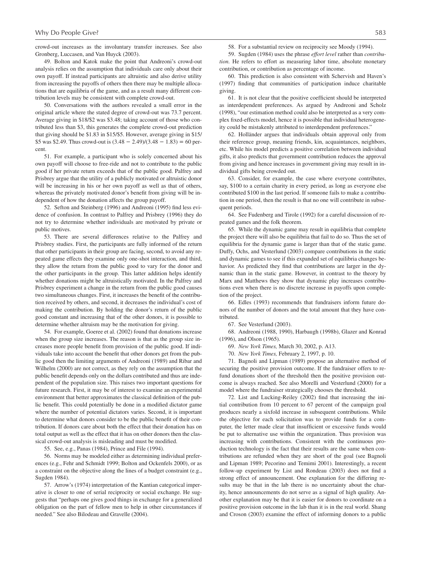crowd-out increases as the involuntary transfer increases. See also Gronberg, Luccasen, and Van Huyck (2003).

49. Bolton and Katok make the point that Andreoni's crowd-out analysis relies on the assumption that individuals care only about their own payoff. If instead participants are altruistic and also derive utility from increasing the payoffs of others then there may be multiple allocations that are equilibria of the game, and as a result many different contribution levels may be consistent with complete crowd-out.

50. Conversations with the authors revealed a small error in the original article where the stated degree of crowd-out was 73.7 percent. Average giving in \$18/\$2 was \$3.48; taking account of those who contributed less than \$3, this generates the complete crowd-out prediction that giving should be \$1.83 in \$15/\$5. However, average giving in \$15/ \$5 was \$2.49. Thus crowd-out is  $(3.48 - 2.49)/(3.48 - 1.83) = 60$  percent.

51. For example, a participant who is solely concerned about his own payoff will choose to free-ride and not to contribute to the public good if her private return exceeds that of the public good. Palfrey and Prisbrey argue that the utility of a publicly motivated or altruistic donor will be increasing in his or her own payoff as well as that of others, whereas the privately motivated donor's benefit from giving will be independent of how the donation affects the group payoff.

52. Sefton and Steinberg (1996) and Andreoni (1995) find less evidence of confusion. In contrast to Palfrey and Prisbrey (1996) they do not try to determine whether individuals are motivated by private or public motives.

53. There are several differences relative to the Palfrey and Prisbrey studies. First, the participants are fully informed of the return that other participants in their group are facing, second, to avoid any repeated game effects they examine only one-shot interaction, and third, they allow the return from the public good to vary for the donor and the other participants in the group. This latter addition helps identify whether donations might be altruistically motivated. In the Palfrey and Prisbrey experiment a change in the return from the public good causes two simultaneous changes. First, it increases the benefit of the contribution received by others, and second, it decreases the individual's cost of making the contribution. By holding the donor's return of the public good constant and increasing that of the other donors, it is possible to determine whether altruism may be the motivation for giving.

54. For example, Goeree et al. (2002) found that donations increase when the group size increases. The reason is that as the group size increases more people benefit from provision of the public good. If individuals take into account the benefit that other donors get from the public good then the limiting arguments of Andreoni (1989) and Ribar and Wilhelm (2000) are not correct, as they rely on the assumption that the public benefit depends only on the dollars contributed and thus are independent of the population size. This raises two important questions for future research. First, it may be of interest to examine an experimental environment that better approximates the classical definition of the public benefit. This could potentially be done in a modified dictator game where the number of potential dictators varies. Second, it is important to determine what donors consider to be the public benefit of their contribution. If donors care about both the effect that their donation has on total output as well as the effect that it has on other donors then the classical crowd-out analysis is misleading and must be modified.

55. See, e.g., Panas (1984), Prince and File (1994).

56. Norms may be modeled either as determining individual preferences (e.g., Fehr and Schmidt 1999; Bolton and Ockenfels 2000), or as a constraint on the objective along the lines of a budget constraint (e.g., Sugden 1984).

57. Arrow's (1974) interpretation of the Kantian categorical imperative is closer to one of serial reciprocity or social exchange. He suggests that "perhaps one gives good things in exchange for a generalized obligation on the part of fellow men to help in other circumstances if needed." See also Bilodeau and Gravelle (2004).

58. For a substantial review on reciprocity see Moody (1994).

59. Sugden (1984) uses the phrase *effort level* rather than *contribution.* He refers to effort as measuring labor time, absolute monetary contribution, or contribution as percentage of income.

60. This prediction is also consistent with Schervish and Haven's (1997) finding that communities of participation induce charitable giving.

61. It is not clear that the positive coefficient should be interpreted as interdependent preferences. As argued by Andreoni and Scholz (1998), "our estimation method could also be interpreted as a very complex fixed-effects model, hence it is possible that individual heterogeneity could be mistakenly attributed to interdependent preferences."

62. Holländer argues that individuals obtain approval only from their reference group, meaning friends, kin, acquaintances, neighbors, etc. While his model predicts a positive correlation between individual gifts, it also predicts that government contribution reduces the approval from giving and hence increases in government giving may result in individual gifts being crowded out.

63. Consider, for example, the case where everyone contributes, say, \$100 to a certain charity in every period, as long as everyone else contributed \$100 in the last period. If someone fails to make a contribution in one period, then the result is that no one will contribute in subsequent periods.

64. See Fudenberg and Tirole (1992) for a careful discussion of repeated games and the folk theorem.

65. While the dynamic game may result in equilibria that complete the project there will also be equilibria that fail to do so. Thus the set of equilibria for the dynamic game is larger than that of the static game. Duffy, Ochs, and Vesterlund (2003) compare contributions in the static and dynamic games to see if this expanded set of equilibria changes behavior. As predicted they find that contributions are larger in the dynamic than in the static game. However, in contrast to the theory by Marx and Matthews they show that dynamic play increases contributions even when there is no discrete increase in payoffs upon completion of the project.

66. Edles (1993) recommends that fundraisers inform future donors of the number of donors and the total amount that they have contributed.

67. See Vesterlund (2003).

68. Andreoni (1988, 1990), Harbaugh (1998b), Glazer and Konrad (1996), and Olson (1965).

69. *New York Times,* March 30, 2002, p. A13.

70. *New York Times,* February 2, 1997, p. 10.

71. Bagnoli and Lipman (1989) propose an alternative method of securing the positive provision outcome. If the fundraiser offers to refund donations short of the threshold then the positive provision outcome is always reached. See also Morelli and Vesterlund (2000) for a model where the fundraiser strategically chooses the threshold.

72. List and Lucking-Reiley (2002) find that increasing the initial contribution from 10 percent to 67 percent of the campaign goal produces nearly a sixfold increase in subsequent contributions. While the objective for each solicitation was to provide funds for a computer, the letter made clear that insufficient or excessive funds would be put to alternative use within the organization. Thus provision was increasing with contributions. Consistent with the continuous production technology is the fact that their results are the same when contributions are refunded when they are short of the goal (see Bagnoli and Lipman 1989; Pecorino and Temimi 2001). Interestingly, a recent follow-up experiment by List and Rondeau (2003) does not find a strong effect of announcement. One explanation for the differing results may be that in the lab there is no uncertainty about the charity, hence announcements do not serve as a signal of high quality. Another explanation may be that it is easier for donors to coordinate on a positive provision outcome in the lab than it is in the real world. Shang and Croson (2003) examine the effect of informing donors to a public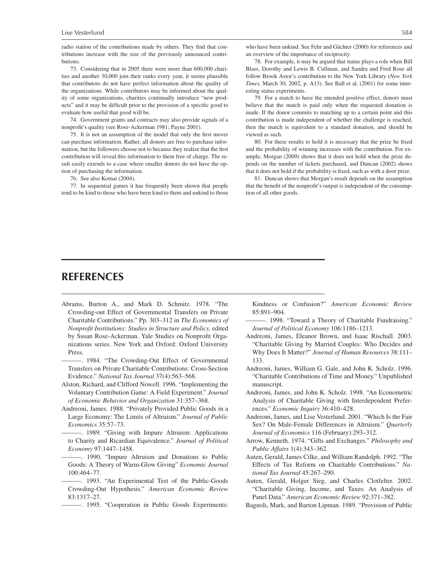radio station of the contributions made by others. They find that contributions increase with the size of the previously announced contributions.

73. Considering that in 2005 there were more than 600,000 charities and another 30,000 join their ranks every year, it seems plausible that contributors do not have perfect information about the quality of the organizations. While contributors may be informed about the quality of some organizations, charities continually introduce "new products" and it may be difficult prior to the provision of a specific good to evaluate how useful that good will be.

74. Government grants and contracts may also provide signals of a nonprofit's quality (see Rose-Ackerman 1981; Payne 2001).

75. It is not an assumption of the model that only the first mover can purchase information. Rather, all donors are free to purchase information, but the followers choose not to because they realize that the first contribution will reveal this information to them free of charge. The result easily extends to a case where smaller donors do not have the option of purchasing the information.

76. See also Komai (2004).

77. In sequential games it has frequently been shown that people tend to be kind to those who have been kind to them and unkind to those who have been unkind. See Fehr and Gächter (2000) for references and an overview of the importance of reciprocity.

78. For example, it may be argued that status plays a role when Bill Blass, Dorothy and Lewis B. Cullman, and Sandra and Fred Rose all follow Brook Astor's contribution to the New York Library (*New York Times,* March 30, 2002, p. A13). See Ball et al. (2001) for some interesting status experiments.

79. For a match to have the intended positive effect, donors must believe that the match is paid only when the requested donation is made. If the donor commits to matching up to a certain point and this contribution is made independent of whether the challenge is reached, then the match is equivalent to a standard donation, and should be viewed as such.

80. For these results to hold it is necessary that the prize be fixed and the probability of winning increases with the contribution. For example, Morgan (2000) shows that it does not hold when the prize depends on the number of tickets purchased, and Duncan (2002) shows that it does not hold if the probability is fixed, such as with a door prize.

81. Duncan shows that Morgan's result depends on the assumption that the benefit of the nonprofit's output is independent of the consumption of all other goods.

### **REFERENCES**

- Abrams, Burton A., and Mark D. Schmitz. 1978. "The Crowding-out Effect of Governmental Transfers on Private Charitable Contributions." Pp. 303–312 in *The Economics of Nonprofit Institutions: Studies in Structure and Policy,* edited by Susan Rose-Ackerman. Yale Studies on Nonprofit Organizations series. New York and Oxford: Oxford University Press.
- 1984. "The Crowding-Out Effect of Governmental Transfers on Private Charitable Contributions: Cross-Section Evidence." *National Tax Journal* 37(4):563–568.
- Alston, Richard, and Clifford Nowell. 1996. "Implementing the Voluntary Contribution Game: A Field Experiment." *Journal of Economic Behavior and Organization* 31:357–368.
- Andreoni, James. 1988. "Privately Provided Public Goods in a Large Economy: The Limits of Altruism." *Journal of Public Economics* 35:57–73.
- -. 1989. "Giving with Impure Altruism: Applications to Charity and Ricardian Equivalence." *Journal of Political Economy* 97:1447–1458.
- -. 1990. "Impure Altruism and Donations to Public Goods: A Theory of Warm-Glow Giving" *Economic Journal* 100:464–77.
- -. 1993. "An Experimental Test of the Public-Goods Crowding-Out Hypothesis." *American Economic Review* 83:1317–27.
- ———. 1995. "Cooperation in Public Goods Experiments:

Kindness or Confusion?" *American Economic Review* 85:891–904.

- ———. 1998. "Toward a Theory of Charitable Fundraising." *Journal of Political Economy* 106:1186–1213.
- Andreoni, James, Eleanor Brown, and Isaac Rischall. 2003. "Charitable Giving by Married Couples: Who Decides and Why Does It Matter?" *Journal of Human Resources* 38:111– 133.
- Andreoni, James, William G. Gale, and John K. Scholz. 1996. "Charitable Contributions of Time and Money." Unpublished manuscript.
- Andreoni, James, and John K. Scholz. 1998. "An Econometric Analysis of Charitable Giving with Interdependent Preferences." *Economic Inquiry* 36:410–428.
- Andreoni, James, and Lise Vesterlund. 2001. "Which Is the Fair Sex? On Male-Female Differences in Altruism." *Quarterly Journal of Economics* 116 (February):293–312.
- Arrow, Kenneth. 1974. "Gifts and Exchanges." *Philosophy and Public Affairs* 1(4):343–362.
- Auten, Gerald, James Cilke, and William Randolph. 1992. "The Effects of Tax Reform on Charitable Contributions." *National Tax Journal* 45:267–290.
- Auten, Gerald, Holger Sieg, and Charles Clotfelter. 2002. "Charitable Giving, Income, and Taxes: An Analysis of Panel Data." *American Economic Review* 92:371–382.
- Bagnoli, Mark, and Barton Lipman. 1989. "Provision of Public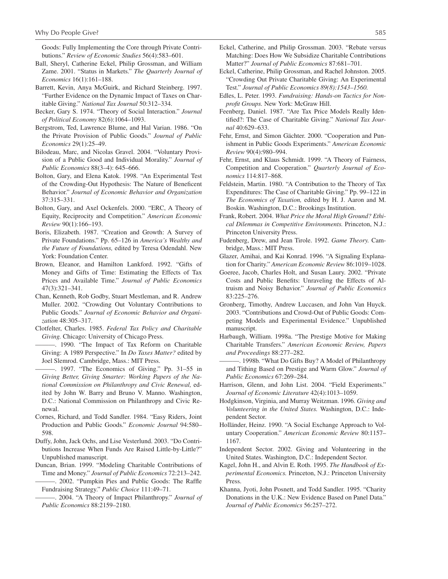Goods: Fully Implementing the Core through Private Contributions." *Review of Economic Studies* 56(4):583–601.

- Ball, Sheryl, Catherine Eckel, Philip Grossman, and William Zame. 2001. "Status in Markets." *The Quarterly Journal of Economics* 16(1):161–188.
- Barrett, Kevin, Anya McGuirk, and Richard Steinberg. 1997. "Further Evidence on the Dynamic Impact of Taxes on Charitable Giving." *National Tax Journal* 50:312–334.
- Becker, Gary S. 1974. "Theory of Social Interaction." *Journal of Political Economy* 82(6):1064–1093.
- Bergstrom, Ted, Lawrence Blume, and Hal Varian. 1986. "On the Private Provision of Public Goods." *Journal of Public Economics* 29(1):25–49.
- Bilodeau, Marc, and Nicolas Gravel. 2004. "Voluntary Provision of a Public Good and Individual Morality." *Journal of Public Economics* 88(3–4): 645–666.
- Bolton, Gary, and Elena Katok. 1998. "An Experimental Test of the Crowding-Out Hypothesis: The Nature of Beneficent Behavior." *Journal of Economic Behavior and Organization* 37:315–331.
- Bolton, Gary, and Axel Ockenfels. 2000. "ERC, A Theory of Equity, Reciprocity and Competition." *American Economic Review* 90(1):166–193.
- Boris, Elizabeth. 1987. "Creation and Growth: A Survey of Private Foundations." Pp. 65–126 in *America's Wealthy and the Future of Foundations,* edited by Teresa Odendahl. New York: Foundation Center.
- Brown, Eleanor, and Hamilton Lankford. 1992. "Gifts of Money and Gifts of Time: Estimating the Effects of Tax Prices and Available Time." *Journal of Public Economics* 47(3):321–341.
- Chan, Kenneth, Rob Godby, Stuart Mestleman, and R. Andrew Muller. 2002. "Crowding Out Voluntary Contributions to Public Goods." *Journal of Economic Behavior and Organization* 48:305–317.
- Clotfelter, Charles. 1985. *Federal Tax Policy and Charitable Giving.* Chicago: University of Chicago Press.
	- ———. 1990. "The Impact of Tax Reform on Charitable Giving: A 1989 Perspective." In *Do Taxes Matter?* edited by Joel Slemrod. Cambridge, Mass.: MIT Press.
- -. 1997. "The Economics of Giving." Pp. 31-55 in *Giving Better, Giving Smarter: Working Papers of the National Commission on Philanthropy and Civic Renewal,* edited by John W. Barry and Bruno V. Manno. Washington, D.C.: National Commission on Philanthropy and Civic Renewal.
- Cornes, Richard, and Todd Sandler. 1984. "Easy Riders, Joint Production and Public Goods." *Economic Journal* 94:580– 598.
- Duffy, John, Jack Ochs, and Lise Vesterlund. 2003. "Do Contributions Increase When Funds Are Raised Little-by-Little?" Unpublished manuscript.
- Duncan, Brian. 1999. "Modeling Charitable Contributions of Time and Money." *Journal of Public Economics* 72:213–242. 2002. "Pumpkin Pies and Public Goods: The Raffle Fundraising Strategy." *Public Choice* 111:49–71.
- ———. 2004. "A Theory of Impact Philanthropy." *Journal of Public Economics* 88:2159–2180.
- Eckel, Catherine, and Philip Grossman. 2003. "Rebate versus Matching: Does How We Subsidize Charitable Contributions Matter?" *Journal of Public Economics* 87:681–701.
- Eckel, Catherine, Philip Grossman, and Rachel Johnston. 2005. "Crowding Out Private Charitable Giving: An Experimental Test." *Journal of Public Economics 89(8):1543–1560.*
- Edles, L. Peter. 1993. *Fundraising: Hands-on Tactics for Nonprofit Groups.* New York: McGraw Hill.
- Feenberg, Daniel. 1987. "Are Tax Price Models Really Identified?: The Case of Charitable Giving." *National Tax Journal* 40:629–633.
- Fehr, Ernst, and Simon Gächter. 2000. "Cooperation and Punishment in Public Goods Experiments." *American Economic Review* 90(4):980–994.
- Fehr, Ernst, and Klaus Schmidt. 1999. "A Theory of Fairness, Competition and Cooperation." *Quarterly Journal of Economics* 114:817–868.
- Feldstein, Martin. 1980. "A Contribution to the Theory of Tax Expenditures: The Case of Charitable Giving." Pp. 99–122 in *The Economics of Taxation,* edited by H. J. Aaron and M. Boskin. Washington, D.C.: Brookings Institution.
- Frank, Robert. 2004. *What Price the Moral High Ground? Ethical Dilemmas in Competitive Environments.* Princeton, N.J.: Princeton University Press.
- Fudenberg, Drew, and Jean Tirole. 1992. *Game Theory.* Cambridge, Mass.: MIT Press.
- Glazer, Amihai, and Kai Konrad. 1996. "A Signaling Explanation for Charity." *American Economic Review* 86:1019–1028.
- Goeree, Jacob, Charles Holt, and Susan Laury. 2002. "Private Costs and Public Benefits: Unraveling the Effects of Altruism and Noisy Behavior." *Journal of Public Economics* 83:225–276.
- Gronberg, Timothy, Andrew Luccasen, and John Van Huyck. 2003. "Contributions and Crowd-Out of Public Goods: Competing Models and Experimental Evidence." Unpublished manuscript.
- Harbaugh, William. 1998a. "The Prestige Motive for Making Charitable Transfers." *American Economic Review, Papers and Proceedings* 88:277–282.
- -. 1998b. "What Do Gifts Buy? A Model of Philanthropy and Tithing Based on Prestige and Warm Glow." *Journal of Public Economics* 67:269–284.
- Harrison, Glenn, and John List. 2004. "Field Experiments." *Journal of Economic Literature* 42(4):1013–1059.
- Hodgkinson, Virginia, and Murray Weitzman. 1996. *Giving and Volunteering in the United States.* Washington, D.C.: Independent Sector.
- Holländer, Heinz. 1990. "A Social Exchange Approach to Voluntary Cooperation." *American Economic Review* 80:1157– 1167.
- Independent Sector. 2002. Giving and Volunteering in the United States. Washington, D.C.: Independent Sector.
- Kagel, John H., and Alvin E. Roth. 1995. *The Handbook of Experimental Economics.* Princeton, N.J.: Princeton University Press.
- Khanna, Jyoti, John Posnett, and Todd Sandler. 1995. "Charity Donations in the U.K.: New Evidence Based on Panel Data." *Journal of Public Economics* 56:257–272.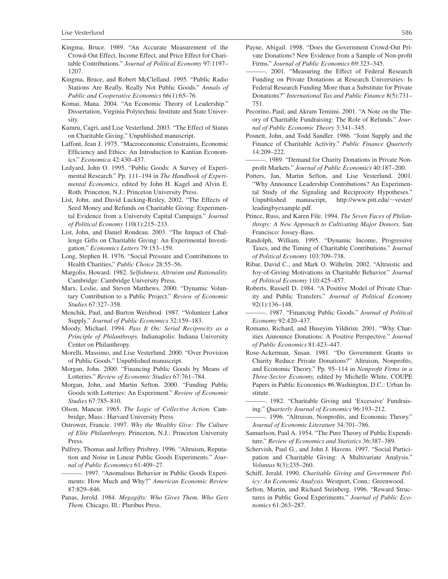- Kingma, Bruce. 1989. "An Accurate Measurement of the Crowd-Out Effect, Income Effect, and Price Effect for Charitable Contributions." *Journal of Political Economy* 97:1197– 1207.
- Kingma, Bruce, and Robert McClelland. 1995. "Public Radio Stations Are Really, Really Not Public Goods." *Annals of Public and Cooperative Economics* 66(1):65–76.
- Komai, Mana. 2004. "An Economic Theory of Leadership." Dissertation, Virginia Polytechnic Institute and State University.
- Kumru, Cagri, and Lise Vesterlund. 2003. "The Effect of Status on Charitable Giving." Unpublished manuscript.
- Laffont, Jean J. 1975. "Macroeconomic Constraints, Economic Efficiency and Ethics: An Introduction to Kantian Economics." *Economica* 42:430–437.
- Ledyard, John O. 1995. "Public Goods: A Survey of Experimental Research." Pp. 111–194 in *The Handbook of Experimental Economics,* edited by John H. Kagel and Alvin E. Roth. Princeton, N.J.: Princeton University Press.
- List, John, and David Lucking-Reiley. 2002. "The Effects of Seed Money and Refunds on Charitable Giving: Experimental Evidence from a University Capital Campaign." *Journal of Political Economy* 110(1):215–233.
- List, John, and Daniel Rondeau. 2003. "The Impact of Challenge Gifts on Charitable Giving: An Experimental Investigation." *Economics Letters* 79:153–159.
- Long, Stephen H. 1976. "Social Pressure and Contributions to Health Charities," *Public Choice* 28:55–56.
- Margolis, Howard. 1982. *Selfishness, Altruism and Rationality.* Cambridge: Cambridge University Press.
- Marx, Leslie, and Steven Matthews. 2000. "Dynamic Voluntary Contribution to a Public Project." *Review of Economic Studies* 67:327–358.
- Menchik, Paul, and Burton Weisbrod. 1987. "Volunteer Labor Supply." *Journal of Public Economics* 32:159–183.
- Moody, Michael. 1994. *Pass It On: Serial Reciprocity as a Principle of Philanthropy.* Indianapolis: Indiana University Center on Philanthropy.
- Morelli, Massimo, and Lise Vesterlund. 2000. "Over Provision of Public Goods." Unpublished manuscript.
- Morgan, John. 2000. "Financing Public Goods by Means of Lotteries." *Review of Economic Studies* 67:761–784.
- Morgan, John, and Martin Sefton. 2000. "Funding Public Goods with Lotteries: An Experiment." *Review of Economic Studies* 67:785–810.
- Olson, Mancur. 1965. *The Logic of Collective Action.* Cambridge, Mass.: Harvard University Press.
- Ostrower, Francie. 1997. *Why the Wealthy Give: The Culture of Elite Philanthropy.* Princeton, N.J.: Princeton University Press.
- Palfrey, Thomas and Jeffrey Prisbrey. 1996. "Altruism, Reputation and Noise in Linear Public Goods Experiments." *Journal of Public Economics* 61:409–27.
- ———. 1997. "Anomalous Behavior in Public Goods Experiments: How Much and Why?" *American Economic Review* 87:829–846.
- Panas, Jerold. 1984. *Megagifts: Who Gives Them, Who Gets Them.* Chicago, Ill.: Pluribus Press.
- Payne, Abigail. 1998. "Does the Government Crowd-Out Private Donations? New Evidence from a Sample of Non-profit Firms." *Journal of Public Economics* 69:323–345.
- ———. 2001. "Measuring the Effect of Federal Research Funding on Private Donations at Research Universities: Is Federal Research Funding More than a Substitute for Private Donations?" *International Tax and Public Finance* 8(5):731– 751.
- Pecorino, Paul, and Akram Temimi. 2001. "A Note on the Theory of Charitable Fundraising: The Role of Refunds." *Journal of Public Economic Theory* 3:341–345.
- Posnett, John, and Todd Sandler. 1986. "Joint Supply and the Finance of Charitable Activity." *Public Finance Quarterly* 14:209–222.
- -. 1989. "Demand for Charity Donations in Private Nonprofit Markets." *Journal of Public Economics* 40:187–200.
- Potters, Jan, Martin Sefton, and Lise Vesterlund. 2001. "Why Announce Leadership Contributions? An Experimental Study of the Signaling and Reciprocity Hypotheses." Unpublished manuscript, http://www.pitt.edu/~vester/ leadingbyexample.pdf.
- Prince, Russ, and Karen File. 1994. *The Seven Faces of Philanthropy: A New Approach to Cultivating Major Donors.* San Francisco: Jossey-Bass.
- Randolph, William. 1995. "Dynamic Income, Progressive Taxes, and the Timing of Charitable Contributions." *Journal of Political Economy* 103:709–738.
- Ribar, David C., and Mark O. Wilhelm. 2002. "Altruistic and Joy-of-Giving Motivations in Charitable Behavior." *Journal of Political Economy* 110:425–457.
- Roberts, Russell D. 1984. "A Positive Model of Private Charity and Public Transfers." *Journal of Political Economy* 92(1):136–148.
- ———. 1987. "Financing Public Goods." *Journal of Political Economy* 92:420–437.
- Romano, Richard, and Huseyim Yildirim. 2001. "Why Charities Announce Donations: A Positive Perspective." *Journal of Public Economics* 81:423–447.
- Rose-Ackerman, Susan. 1981. "Do Government Grants to Charity Reduce Private Donations?" Altruism, Nonprofits, and Economic Theory." Pp. 95–114 in *Nonprofit Firms in a Three-Sector Economy,* edited by Michelle White. COUPE Papers in Public Economics #6.Washington, D.C.: Urban Institute.
- . 1982. "Charitable Giving and 'Excessive' Fundraising." *Quarterly Journal of Economics* 96:193–212.
- ———. 1996. "Altruism, Nonprofits, and Economic Theory." *Journal of Economic Literature* 34:701–786.
- Samuelson, Paul A. 1954. "The Pure Theory of Public Expenditure." *Review of Economics and Statistics* 36:387–389.
- Schervish, Paul G., and John J. Havens. 1997. "Social Participation and Charitable Giving: A Multivariate Analysis." *Voluntas* 8(3):235–260.
- Schiff, Jerald. 1990. *Charitable Giving and Government Policy: An Economic Analysis.* Westport, Conn.: Greenwood.
- Sefton, Martin, and Richard Steinberg. 1996. "Reward Structures in Public Good Experiments." *Journal of Public Economics* 61:263–287.